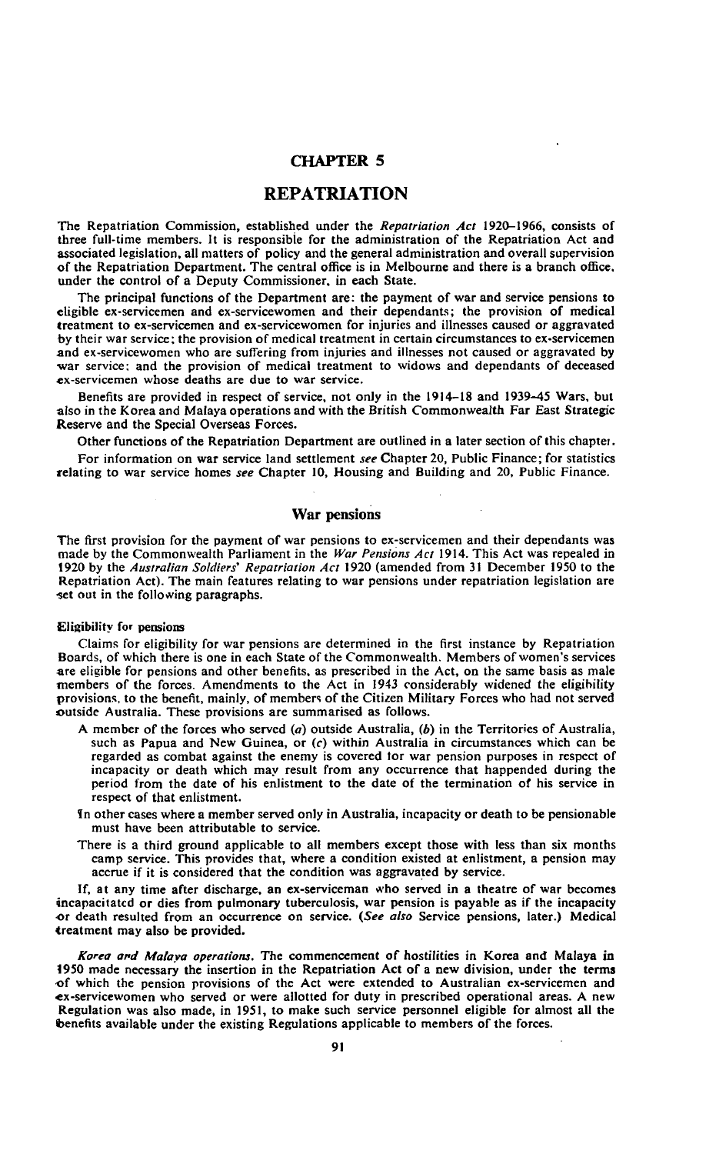# **CHAPTER 5**

# **REPATRIATION**

The Repatriation Commission, established under the *Repatriation Act* 1920-1966, consists or three full-time members. It is responsible for the administration of the Repatriation Act and associated legislation, all matters of policy and the general administration and overall supervision of the Repatriation Department. The central office is in Melbourne and there is a branch office, under the control of a Deputy Commissioner, in each State.

The principal functions of the Department are: the payment of war and service pensions to eligible ex-servicemen and ex-servicewomen and their dependants; the provision of medical treatment to ex-servicemen and ex-servicewomen for injuries and illnesses caused or aggravated by their war service; the provision of medical treatment in certain circumstances to ex-servicemen and ex-servicewomen who are suffering from injuries and illnesses not caused or aggravated by war service; and the provision of medical treatment to widows and dependants of deceased ex-servicemen whose deaths are due to war service.

Benefits are provided in respect of service, not only in the 1914-18 and 1939—45 Wars, but also in the Korea and Malaya operations and with the British Commonwealth Far East Strategic Reserve and the Special Overseas Forces.

Other functions of the Repatriation Department are outlined in a later section of this chaptei. For information on war service land settlement *see* Chapter 20, Public Finance; for statistics relating to war service homes *see* Chapter 10, Housing and Building and 20, Public Finance.

## **War pensions**

The first provision for the payment of war pensions to ex-servicemen and their dependants was made by the Commonwealth Parliament in the *War Pensions Act* 1914. This Act was repealed in 1920 by the *Australian Soldiers' Repatriation Act* 1920 (amended from 31 December 1950 to the Repatriation Act). The main features relating to war pensions under repatriation legislation are set out in the following paragraphs.

#### **Eligibility for pensions**

Claims for eligibility for war pensions are determined in the first instance by Repatriation Boards, of which there is one in each State of the Commonwealth. Members of women's services are eligible for pensions and other benefits, as prescribed in the Act, on the same basis as male members of the forces. Amendments to the Act in 1943 considerably widened the eligibility provisions, to the benefit, mainly, of members of the Citizen Military Forces who had not served outside Australia. These provisions are summarised as follows.

- A member of the forces who served *(a)* outside Australia, (6) in the Territories of Australia, such as Papua and New Guinea, or  $(c)$  within Australia in circumstances which can be regarded as combat against the enemy is covered lor war pension purposes in respect of incapacity or death which may result from any occurrence that happended during the period from the date of his enlistment to the date of the termination of his service in respect of that enlistment,
- in other cases where a member served only in Australia, incapacity or death to be pensionable must have been attributable to service.
- There is a third ground applicable to all members except those with less than six months camp service. This provides that, where a condition existed at enlistment, a pension may accrue if it is considered that the condition was aggravated by service.

If, at any time after discharge, an ex-serviceman who served in a theatre of war becomes incapacitated or dies from pulmonary tuberculosis, war pension is payable as if the incapacity •or death resulted from an occurrence on service. *(See also* Service pensions, later.) Medical treatment may also be provided.

*Korea ard Malaya operations.* The commencement of hostilities in Korea and Malaya in 1950 made necessary the insertion in the Repatriation Act of a new division, under the terms of which the pension provisions of the Act were extended to Australian ex-servicemen and •ex-servicewomen who served or were allotted for duty in prescribed operational areas. A new Regulation was also made, in 1951, to make such service personnel eligible for almost all the benefits available under the existing Regulations applicable to members of the forces.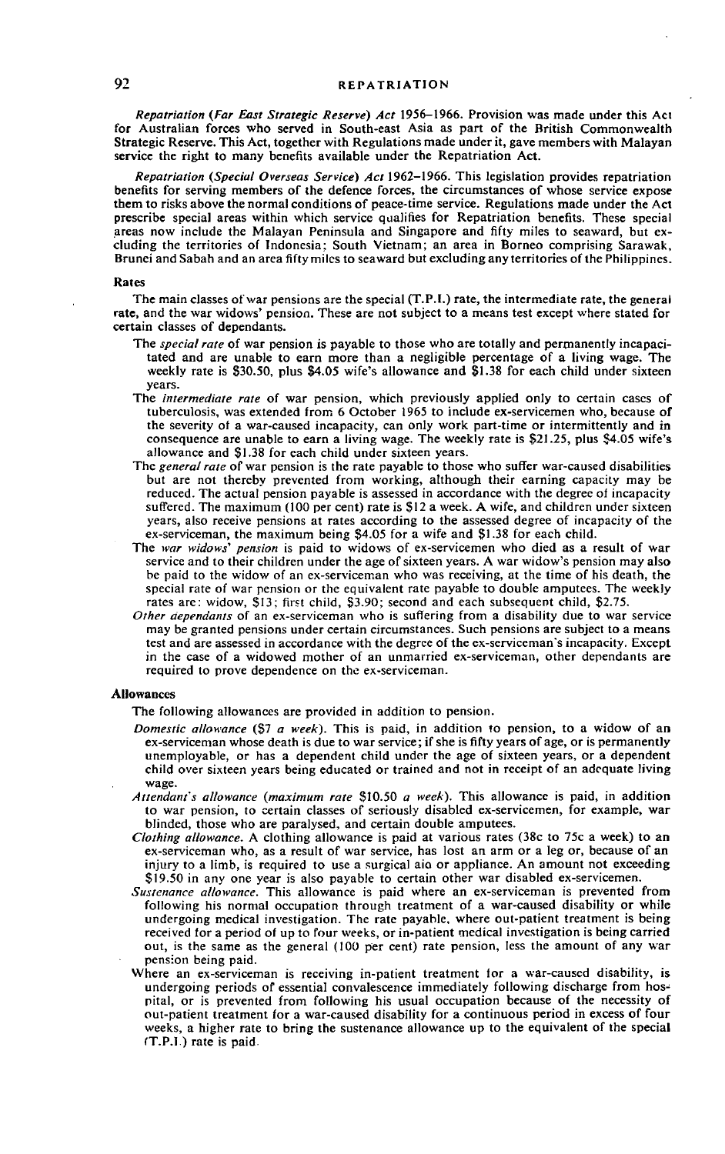*Repatriation (Far East Strategic Reserve) Act* 1956-1966. Provision was made under this Aci for Australian forces who served in South-east Asia as part of the British Commonwealth Strategic Reserve. This Act, together with Regulations made under it, gave members with Malayan service the right to many benefits available under the Repatriation Act.

*Repatriation (Special Overseas Service) Act* 1962-1966. This legislation provides repatriation benefits for serving members of the defence forces, the circumstances of whose service expose them to risks above the normal conditions of peace-time service. Regulations made under the Act prescribe special areas within which service qualifies for Repatriation benefits. These special areas now include the Malayan Peninsula and Singapore and fifty miles to seaward, but excluding the territories of Indonesia; South Vietnam; an area in Borneo comprising Sarawak, Brunei and Sabah and an area fifty miles to seaward but excluding any territories of the Philippines.

#### **Rates**

The main classes of war pensions are the special (T.P.I.) rate, the intermediate rate, the general rate, and the war widows' pension. These are not subject to a means test except where stated for certain classes of dependants.

- The *special rate* of war pension is payable to those who are totally and permanently incapacitated and are unable to earn more than a negligible percentage of a living wage. The weekly rate is \$30.50, plus §4.05 wife's allowance and \$1.38 for each child under sixteen years.
- The *intermediate rate* of war pension, which previously applied only to certain cases of tuberculosis, was extended from 6 October 1965 to include ex-servicemen who, because of the severity ot a war-caused incapacity, can only work part-time or intermittently and in consequence are unable to earn a living wage. The weekly rate is \$21.25, plus \$4.05 wife's allowance and \$1.38 for each child under sixteen years.
- The *general rate* of war pension is the rate payable to those who suffer war-caused disabilities but are not thereby prevented from working, although their earning capacity may be reduced. The actual pension payable is assessed in accordance with the degree of incapacity suffered. The maximum (100 per cent) rate is \$12 a week. A wife, and children under sixteen years, also receive pensions at rates according to the assessed degree of incapacity of the ex-serviceman, the maximum being §4.05 for a wife and \$1.38 for each child.
- The *war widows' pension* is paid to widows of ex-servicemen who died as a result of war service and to their children under the age of sixteen years. A war widow's pension may also be paid to the widow of an ex-serviceman who was receiving, at the time of his death, the special rate of war pension or the equivalent rate payable to double amputees. The weekly rates are: widow, \$13; first child, \$3.90; second and each subsequent child, \$2.75.
- *Other dependants* of an ex-serviceman who is suffering from a disability due to war service may be granted pensions under certain circumstances. Such pensions are subject to a means test and are assessed in accordance with the degree of the ex-serviceman's incapacity. Except in the case of a widowed mother of an unmarried ex-serviceman, other dependants are required to prove dependence on the ex-serviceman.

#### **Allowances**

The following allowances are provided in addition to pension.

- *Domestic allowance* (\$7 *a week).* This is paid, in addition to pension, to a widow of an ex-serviceman whose death is due to war service; if she is fifty years of age, or is permanently unemployable, or has a dependent child under the age of sixteen years, or a dependent child over sixteen years being educated or trained and not in receipt of an adequate living wage.
- *Attendant's allowance (maximum rate* \$10.50 *a week).* This allowance is paid, in addition to war pension, to certain classes of seriously disabled ex-servicemen, for example, war blinded, those who are paralysed, and certain double amputees.
- *Clothing allowance.* A clothing allowance is paid at various rates (38c to 75c a week) to an ex-serviceman who, as a result of war service, has lost an arm or a leg or, because of an injury to a limb, is required to use a surgical aid or appliance. An amount not exceeding \$19.50 in any one year is also payable to certain other war disabled ex-servicemen.
- *Sustenance allowance.* This allowance is paid where an ex-serviceman is prevented from following his normal occupation through treatment of a war-caused disability or while undergoing medical investigation. The rate payable, where out-patient treatment is being received lor a period of up to four weeks, or in-patient medical investigation is being carried out, is the same as the general (100 per cent) rate pension, less the amount of any war pension being paid.
- Where an ex-serviceman is receiving in-patient treatment lor a war-caused disability, is undergoing periods of essential convalescence immediately following discharge from hospital, or is prevented from following his usual occupation because of the necessity of out-patient treatment for a war-caused disability for a continuous period in excess of four weeks, a higher rate to bring the sustenance allowance up to the equivalent of the special (T.P.I.) rate is paid.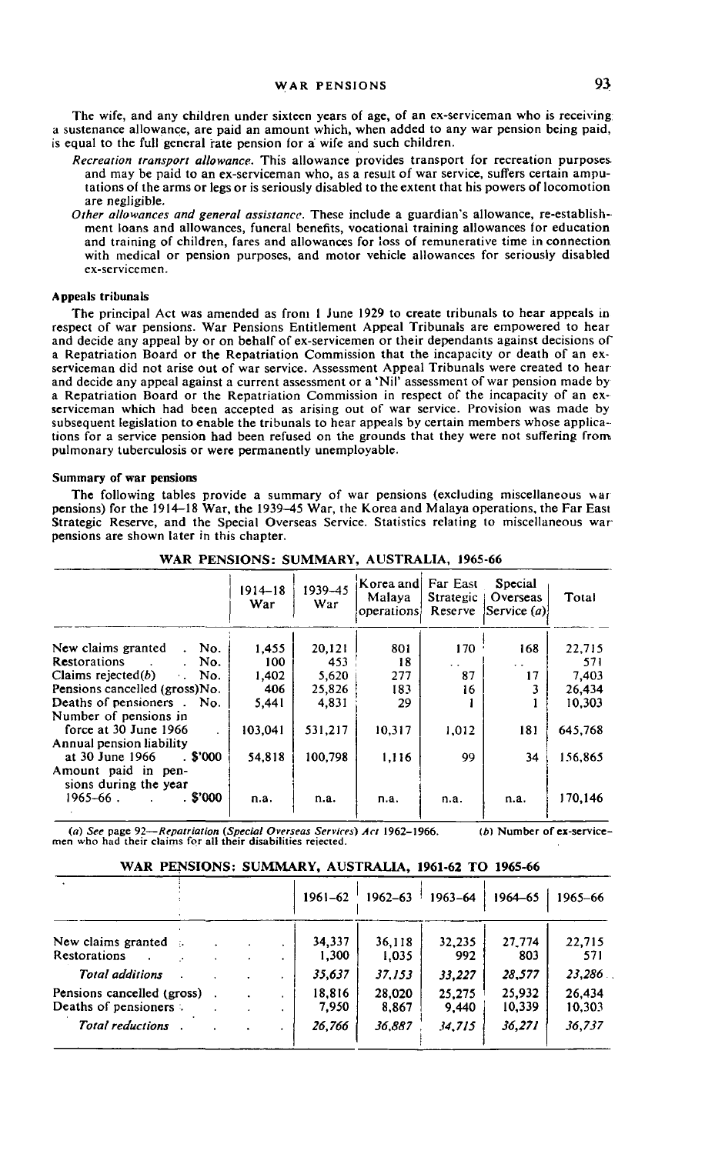The wife, and any children under sixteen years of age, of an ex-serviceman who is receiving a sustenance allowance, are paid an amount which, when added to any war pension being paid, is equal to the full general rate pension for a wife and such children.

- *Recreation transport allowance.* This allowance provides transport for recreation purposes and may be paid to an ex-serviceman who, as a result of war service, suffers certain amputations of the arms or legs or is seriously disabled to the extent that his powers of locomotion are negligible.
- *Other allowances and general assistance.* These include a guardian's allowance, re-establishment loans and allowances, funeral benefits, vocational training allowances for education and training of children, fares and allowances for loss of remunerative time in connection with medical or pension purposes, and motor vehicle allowances for seriously disabled ex-servicemen.

#### Appeals tribunals

The principal Act was amended as from 1 June 1929 to create tribunals to hear appeals in respect of war pensions. War Pensions Entitlement Appeal Tribunals are empowered to hear and decide any appeal by or on behalf of ex-servicemen or their dependants against decisions of a Repatriation Board or the Repatriation Commission that the incapacity or death of an exserviceman did not arise out of war service. Assessment Appeal Tribunals were created to hear and decide any appeal against a current assessment or a 'Nil' assessment of war pension made by a Repatriation Board or the Repatriation Commission in respect of the incapacity of an exserviceman which had been accepted as arising out of war service. Provision was made by subsequent legislation to enable the tribunals to hear appeals by certain members whose applications for a service pension had been refused on the grounds that they were not suffering from pulmonary tuberculosis or were permanently unemployable.

#### Summary of war pensions

The following tables provide a summary of war pensions (excluding miscellaneous war pensions) for the 1914-18 War, the 1939-45 War, the Korea and Malaya operations, the Far East Strategic Reserve, and the Special Overseas Service. Statistics relating to miscellaneous war pensions are shown later in this chapter.

|                                              | $1914 - 18$<br>War | 1939-45<br>War | Korea and<br>Malaya<br>operations. | Far East<br>Strategic  <br>Reserve | Special<br>Overseas<br> Service(a) | Total   |
|----------------------------------------------|--------------------|----------------|------------------------------------|------------------------------------|------------------------------------|---------|
| New claims granted<br>. No.                  | 1,455              | 20,121         | 801                                | 170                                | 168                                | 22,715  |
| Restorations<br>No.                          | 100                | 453            | 18                                 | $\ddot{\phantom{0}}$               | $\ddot{\phantom{0}}$               | 571     |
| Claims rejected $(b)$<br>$\cdot$ No.         | 1.402              | 5.620          | 277                                | 87                                 | 17                                 | 7.403   |
| Pensions cancelled (gross)No.                | 406                | 25,826         | 183                                | 16                                 |                                    | 26,434  |
| Deaths of pensioners . No.                   | 5,441              | 4,831          | 29                                 |                                    |                                    | 10.303  |
| Number of pensions in                        |                    |                |                                    |                                    |                                    |         |
| force at 30 June 1966                        | 103.041            | 531,217        | 10,317                             | 1,012                              | 181                                | 645,768 |
| Annual pension liability                     |                    |                |                                    |                                    |                                    |         |
| $.$ \$'000<br>at 30 June 1966                | 54,818             | 100,798        | 1,116                              | 99                                 | 34                                 | 156,865 |
| Amount paid in pen-<br>sions during the year |                    |                |                                    |                                    |                                    |         |
| . \$'000<br>1965–66.                         | n.a.               | n.a.           | п.а.                               | n.a.                               | n.a.                               | 170,146 |

WAR PENSIONS: SUMMARY, AUSTRALIA, 1965-66

(«) *See* page 92—*Repatriation (Special Overseas Services) Act* **1962-1966. men** who had their **claims for all their disabilities** rejected. *(b)* **Number of ex-service-**

|                                                      |  | $1961 - 62$     | $1962 - 63$     | 1963-64         | 1964-65          | 1965-66          |
|------------------------------------------------------|--|-----------------|-----------------|-----------------|------------------|------------------|
|                                                      |  |                 |                 |                 |                  |                  |
| New claims granted $\therefore$<br>Restorations      |  | 34,337<br>1,300 | 36.118<br>1.035 | 32.235<br>992   | 27.774<br>803    | 22,715<br>571    |
| <b>Total additions</b>                               |  | 35,637          | 37.153          | 33,227          | 28,577           | 23,286           |
| Pensions cancelled (gross)<br>Deaths of pensioners : |  | 18,816<br>7.950 | 28,020<br>8,867 | 25,275<br>9,440 | 25,932<br>10,339 | 26.434<br>10,303 |
| <b>Total reductions</b>                              |  | 26,766          | 36.887          | 34,715          | 36,271           | 36,737           |

## **WAR PENSIONS: SUMMARY, AUSTRALIA, 1961-62 TO 1965-66**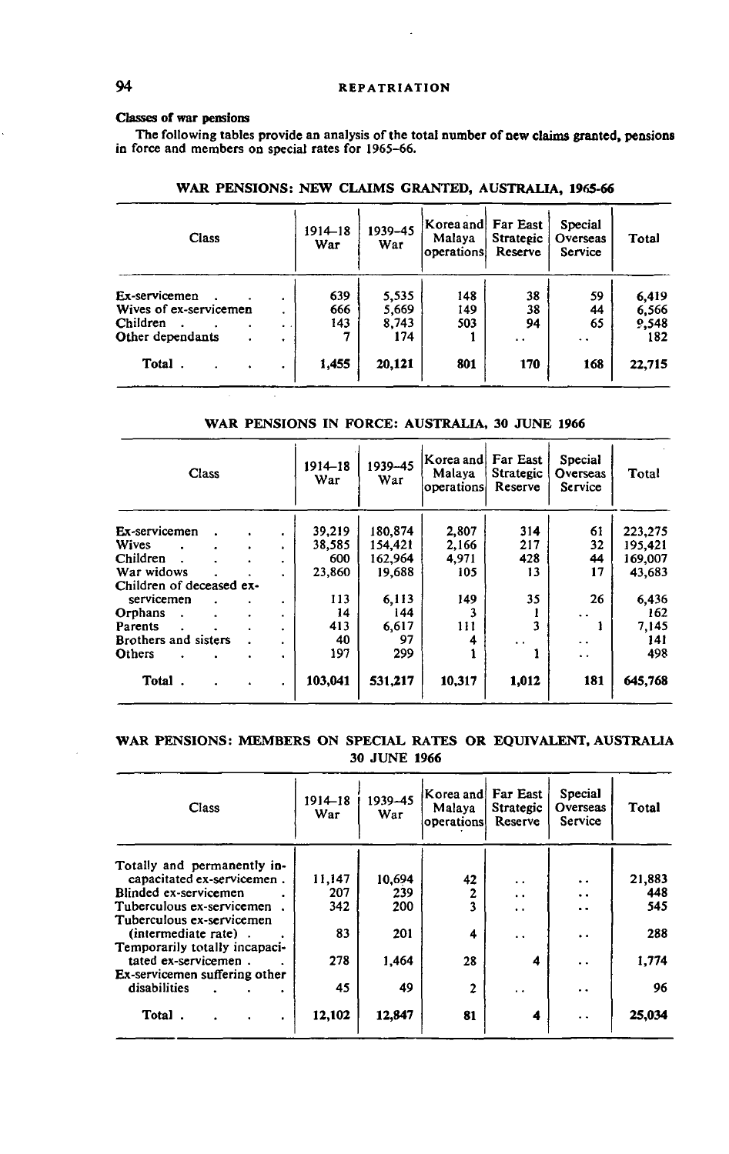## Classes **of** war **pensions**

The following tables provide an analysis of the total number of new claims granted, pensions in force and members on special rates for 1965-66.

| <b>Class</b>           |                          | 1914–18<br>War | 1939-45<br>War | Korea and<br>Malaya<br>operations | Far East<br>Strategic<br>Reserve | Special<br>Overseas<br>Service | Total  |
|------------------------|--------------------------|----------------|----------------|-----------------------------------|----------------------------------|--------------------------------|--------|
| Ex-servicemen          | ٠                        | 639            | 5.535          | 148                               | 38                               | 59                             | 6,419  |
| Wives of ex-servicemen |                          | 666            | 5,669          | 149                               | 38                               | 44                             | 6,566  |
| Children               | $\ddot{\phantom{1}}$     | 143            | 8,743          | 503                               | 94                               | 65                             | 9,548  |
| Other dependants       | ٠                        |                | 174            |                                   | . .                              |                                | 182    |
| Total                  | $\overline{\phantom{a}}$ | 1,455          | 20,121         | 801                               | 170                              | 168                            | 22,715 |

# **WAR PENSIONS: NEW CLAIMS GRANTED, AUSTRALIA, 1965-66**

## **WAR PENSIONS IN FORCE: AUSTRALIA, 30 JUNE 1966**

|                          | Class |  | $1914 - 18$<br>War | 1939-45<br>War | Korea and <br>Malaya<br>operations | Far East<br>Strategic<br>Reserve | Special<br>Overseas<br>Service | Total                |         |
|--------------------------|-------|--|--------------------|----------------|------------------------------------|----------------------------------|--------------------------------|----------------------|---------|
| Ex-servicemen            |       |  | ٠                  | 39,219         | 180,874                            | 2,807                            | 314                            | 61                   | 223,275 |
| <b>Wives</b>             |       |  | ٠                  | 38.585         | 154.421                            | 2.166                            | 217                            | 32                   | 195.421 |
| Children                 |       |  | ٠                  | 600            | 162.964                            | 4,971                            | 428                            | 44                   | 169,007 |
| War widows               |       |  | ٠                  | 23,860         | 19,688                             | 105                              | 13                             | 17                   | 43,683  |
| Children of deceased ex- |       |  |                    |                |                                    |                                  |                                |                      |         |
| servicemen               |       |  | ٠                  | 113            | 6.113                              | 149                              | 35                             | 26                   | 6,436   |
| Orphans                  |       |  | ٠                  | 14             | 144                                | 3                                |                                | $\ddot{\phantom{1}}$ | 162     |
| Parents                  |       |  | ٠                  | 413            | 6.617                              | 111                              |                                |                      | 7,145   |
| Brothers and sisters     |       |  | ٠                  | 40             | 97                                 | 4                                | . .                            | $\ddot{\phantom{1}}$ | 141     |
| Others                   |       |  | ٠                  | 197            | 299                                |                                  |                                | $\ddot{\phantom{0}}$ | 498     |
| Total                    |       |  | ٠                  | 103,041        | 531,217                            | 10.317                           | 1,012                          | 181                  | 645,768 |

## **WAR PENSIONS: MEMBERS ON SPECIAL RATES OR EQUIVALENT, AUSTRALIA 30 JUNE 1966**

| Class                         | $1914 - 18$<br>War | 1939-45<br>War | Korea and<br>Malaya<br>operations | Far East<br><b>Strategic</b><br>Reserve | Special<br>Overseas<br>Service | Total  |
|-------------------------------|--------------------|----------------|-----------------------------------|-----------------------------------------|--------------------------------|--------|
| Totally and permanently in-   |                    |                |                                   |                                         |                                |        |
| capacitated ex-servicemen.    | 11,147             | 10,694         | 42                                | $\ddot{\phantom{0}}$                    | $\ddot{\phantom{0}}$           | 21,883 |
| Blinded ex-servicemen         | 207                | 239            |                                   | $\ddot{\phantom{a}}$                    | $\ddotsc$                      | 448    |
| Tuberculous ex-servicemen.    | 342                | 200            | 3                                 | $\ddot{\phantom{1}}$                    | $\ddot{\phantom{0}}$           | 545    |
| Tuberculous ex-servicemen     |                    |                |                                   |                                         |                                |        |
| (intermediate rate).          | 83                 | 201            | 4                                 | . .                                     | $\ddot{\phantom{0}}$           | 288    |
| Temporarily totally incapaci- |                    |                |                                   |                                         |                                |        |
| tated ex-servicemen.          | 278                | 1.464          | 28                                | 4                                       | $\ddot{\phantom{0}}$           | 1,774  |
| Ex-servicemen suffering other |                    |                |                                   |                                         |                                |        |
| disabilities                  | 45                 | 49             | 2                                 | . .                                     | . .                            | 96     |
| Total.<br>$\bullet$           | 12,102             | 12,847         | 81                                | 4                                       | . .                            | 25,034 |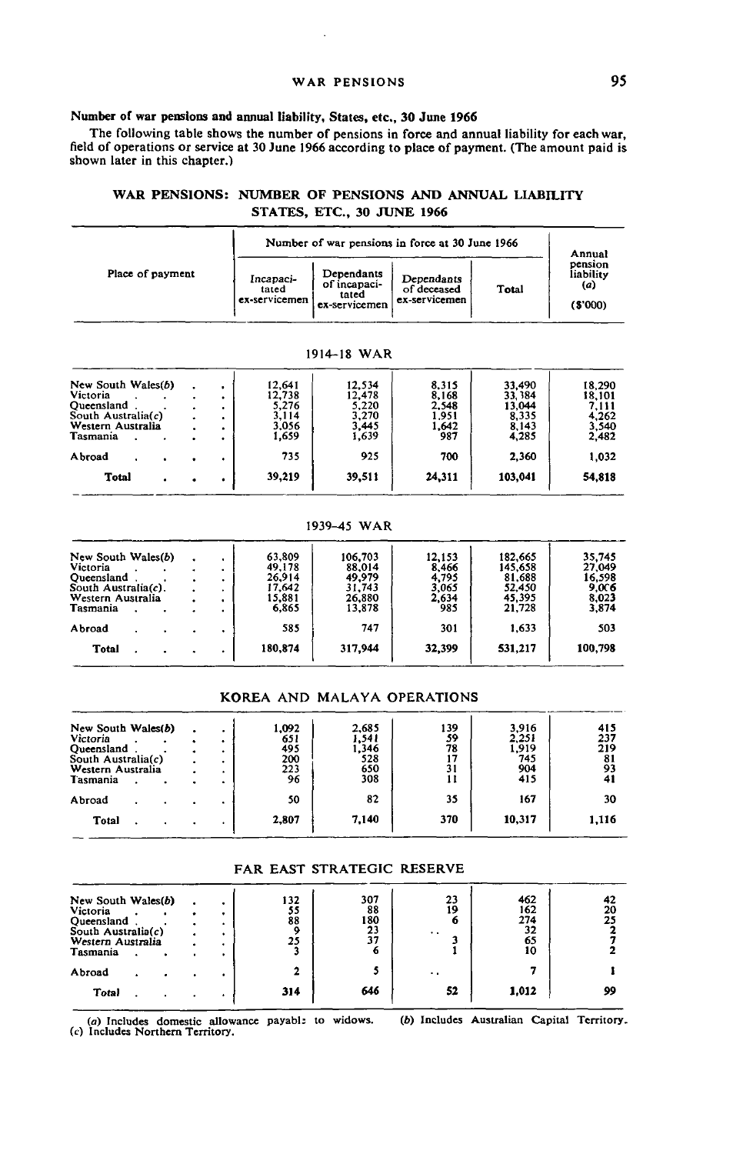## WAR PENSIONS **95**

## Number of war pensions and annual liability, States, etc., 30 June 1966

The following table shows the number of pensions in force and annual liability for each war, field of operations or service at 30 June 1966 according to place of payment. (The amount paid is shown later in this chapter.)

## WAR PENSIONS: NUMBER OF PENSIONS AND ANNUAL LIABILITY STATES, ETC., 30 JUNE 1966

|                       |  |  |                                     |                                                      |                                            | Number of war pensions in force at 30 June 1966 |                                          | Annual  |
|-----------------------|--|--|-------------------------------------|------------------------------------------------------|--------------------------------------------|-------------------------------------------------|------------------------------------------|---------|
| Place of payment      |  |  | Incapaci-<br>tated<br>ex-servicemen | Dependants<br>of incapaci-<br>tated<br>ex-servicemen | Dependants<br>of deceased<br>ex-servicemen | Total                                           | pension<br>liabilitv<br>(a)<br>( \$'000) |         |
|                       |  |  |                                     |                                                      | 1914-18 WAR                                |                                                 |                                          |         |
|                       |  |  |                                     |                                                      |                                            |                                                 |                                          |         |
| New South Wales(b)    |  |  | $\bullet$                           | 12.641                                               | 12.534                                     | 8.315                                           | 33.490                                   | 18.290  |
| Victoria              |  |  | $\bullet$                           | 12.738                                               | 12.478                                     | 8.168                                           | 33.384                                   | 18.101  |
| Oueensland.           |  |  |                                     | 5.276                                                | 5.220                                      | 2.548                                           | 13.044                                   | 7.111   |
| South Australia $(c)$ |  |  | $\bullet$                           | 3.114                                                | 3,270                                      | 1.951                                           | 8.335                                    | 4.262   |
| Western Australia     |  |  | $\bullet$                           | 3.056                                                | 3.445                                      | 1.642                                           | 8.143                                    | 3,540   |
| Tasmania              |  |  | $\bullet$                           | 1.659                                                | 1.639                                      | 987                                             | 4,285                                    | 2,482   |
| Abroad                |  |  | ٠                                   | 735                                                  | 925                                        | 700                                             | 2,360                                    | 1,032   |
| <b>Total</b>          |  |  | ٠                                   | 39,219                                               | 39,511                                     | 24,311                                          | 103,041                                  | 54,818  |
|                       |  |  |                                     |                                                      | 1939-45 WAR                                |                                                 |                                          |         |
| New South Wales(b)    |  |  |                                     | 63.809                                               | 106,703                                    | 12.153                                          | 182,665                                  | 35,745  |
| Victoria              |  |  |                                     | 49,178                                               | 88,014                                     | 8.466                                           | 145,658                                  | 27,049  |
| Oueensland            |  |  |                                     | 26,914                                               | 49,979                                     | 4,795                                           | 81,688                                   | 16,598  |
| South Australia(c).   |  |  | $\bullet$                           | 17,642                                               | 31,743                                     | 3.065                                           | 52,450                                   | 9,006   |
| Western Australia     |  |  | $\bullet$                           | 15,881                                               | 26,880                                     | 2.634                                           | 45,395                                   | 8,023   |
| Tasmania              |  |  |                                     | 6.865                                                | 13,878                                     | 985                                             | 21,728                                   | 3,874   |
| Abroad                |  |  | ٠                                   | 585                                                  | 747                                        | 301                                             | 1,633                                    | 503     |
| Total                 |  |  |                                     | 180,874                                              | 317,944                                    | 32,399                                          | 531,217                                  | 100,798 |
|                       |  |  |                                     |                                                      |                                            | KOREA AND MALAYA OPERATIONS                     |                                          |         |
| New South Wales(b)    |  |  | ٠                                   | 1,092                                                | 2.685                                      | 139                                             | 3,916                                    | 415     |
| Victoria              |  |  | ٠                                   | 651                                                  | 1,541                                      | 59                                              | 2,251                                    | 237     |
| <b>Oueensland</b>     |  |  | $\bullet$                           | 495                                                  | 1,346                                      | 78                                              | 1.919                                    | 219     |
| South Australia(c)    |  |  | ٠                                   | 200                                                  | 528                                        | 17                                              | 745                                      | 81      |
| Western Australia     |  |  |                                     | 223                                                  | 650                                        | 31                                              | 904                                      | 93      |
| Tasmania              |  |  |                                     | 96                                                   | 308                                        | 11                                              | 415                                      | 41      |
| Abroad                |  |  |                                     | 50                                                   | 82                                         | 35                                              | 167                                      | 30      |

## FAR EAST STRATEGIC RESERVE

7,140

370

10,317

1,116

2,807

Total . . . .

| New South Wales(b)<br>Victoria<br>Oueensland<br>South Australia(c)<br>Western Australia<br>Tasmania | $\bullet$ | ٠<br>۰ | 132<br>55<br>88<br>۰<br>25 | 307<br>88<br>180<br>23<br>37 | 23<br>19<br>6<br>$\cdot$ . | 462<br>162<br>274<br>32<br>65<br>10 | 42<br>20<br>25 |
|-----------------------------------------------------------------------------------------------------|-----------|--------|----------------------------|------------------------------|----------------------------|-------------------------------------|----------------|
| Abroad<br><b>Total</b>                                                                              |           |        | 314                        | 646                          | . .<br>52                  | 1,012                               | 99             |

(a) Includes domestic allowance payabl; to widows.<br>(c) Includes Northern Territory. (6) Includes Australian Capital Territory.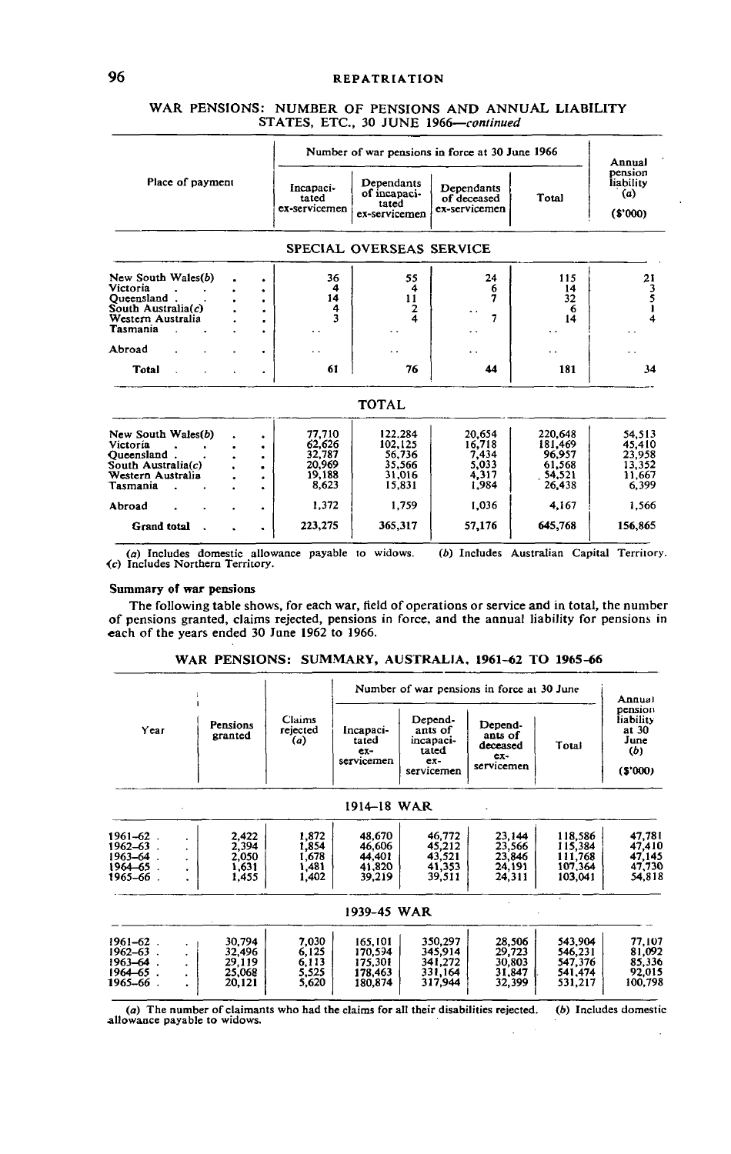|                                   |                      |                                     |                                                      | Number of war pensions in force at 30 June 1966 |                  | Annual                                 |
|-----------------------------------|----------------------|-------------------------------------|------------------------------------------------------|-------------------------------------------------|------------------|----------------------------------------|
| Place of payment                  |                      | Incapaci-<br>tated<br>ex-servicemen | Dependants<br>of incapaci-<br>tated<br>ex-servicemen | Dependants<br>of deceased<br>ex-servicemen      | Total            | pension<br>liability<br>(a)<br>(S'000) |
|                                   |                      | SPECIAL OVERSEAS SERVICE            |                                                      |                                                 |                  |                                        |
| New South Wales(b)                |                      | 36                                  | 55                                                   | 24                                              | 115              | 21                                     |
| Victoria<br>Oueensland.           | ٠<br>$\bullet$       | 4<br>14                             | 4<br>11                                              | 6<br>7                                          | 14<br>32         | 3<br>5                                 |
| South Australia(c)                | $\bullet$            | 4                                   | $\overline{2}$                                       | $\ddot{\phantom{1}}$                            | 6                |                                        |
| Western Australia                 | $\bullet$            | 3                                   | 4                                                    | 7                                               | 14               |                                        |
| Tasmania                          | ۰                    |                                     |                                                      | . .                                             | . .              |                                        |
| Abroad                            |                      |                                     |                                                      | . .                                             | . .              |                                        |
| <b>Total</b>                      |                      | 61                                  | 76                                                   | 44                                              | 181              | 34                                     |
|                                   |                      |                                     | <b>TOTAL</b>                                         |                                                 |                  |                                        |
| New South Wales(b)                | ٠                    | 77,710                              | 122.284                                              | 20,654                                          | 220,648          | 54.513                                 |
| Victoria                          | ٠                    | 62,626                              | 102,125                                              | 16,718                                          | 181,469          | 45,410                                 |
| Oucensland.<br>South Australia(c) | ٠                    | 32,787<br>20,969                    | 56,736<br>35,566                                     | 7,434<br>5,033                                  | 96.957<br>61,568 | 23,958<br>13,352                       |
| Western Australia                 | ٠<br>٠               | 19,188                              | 31,016                                               | 4,317                                           | 54,521           | 11.667                                 |
| Tasmania                          | $\ddot{\phantom{a}}$ | 8,623                               | 15.831                                               | 1,984                                           | 26,438           | 6,399                                  |
| Abroad                            | ٠                    | 1.372                               | 1.759                                                | 1,036                                           | 4,167            | 1,566                                  |
| <b>Grand</b> total                | $\ddot{\phantom{a}}$ | 223,275                             | 365,317                                              | 57,176                                          | 645,768          | 156,865                                |

# WAR PENSIONS: NUMBER OF PENSIONS AND ANNUAL LIABILITY STATES, ETC., 30 JUNE 1966—*continued*

(a) Includes domestic allowance payable to widows.<br>(c) Includes Northern Territory. *(b)* Includes Australian Capital Territory.

#### Summary of war pensions

The following table shows, for each war, field of operations or service and in total, the number of pensions granted, claims rejected, pensions in force, and the annual liability for pensions in each of the years ended 30 June 1962 to 1966.

|                                                                               |                                                                                                             |                                           |                                                     |                                                     | Number of war pensions in force at 30 June     |                                                               | Annual                                              |       |                                                         |
|-------------------------------------------------------------------------------|-------------------------------------------------------------------------------------------------------------|-------------------------------------------|-----------------------------------------------------|-----------------------------------------------------|------------------------------------------------|---------------------------------------------------------------|-----------------------------------------------------|-------|---------------------------------------------------------|
| Year                                                                          | Pensions<br>granted                                                                                         | Claims<br>rejected<br>(a)                 |                                                     | Incapacı-<br>tated<br>$ex-$<br>servicemen           |                                                | Depend-<br>ants of<br>incapaci-<br>tated<br>ex-<br>servicemen | Depend-<br>ants of<br>deceased<br>ex-<br>servicemen | Total | pension<br>liability<br>at 30<br>June<br>(b)<br>(5'000) |
|                                                                               |                                                                                                             |                                           | 1914–18 WAR                                         |                                                     |                                                |                                                               |                                                     |       |                                                         |
| $1961 - 62$ .<br>$1962 - 63$ .<br>$1963 - 64$ .<br>1964-65.<br>. 1965–66      | 2.422<br>٠<br>2,394<br>$\ddot{\phantom{0}}$<br>2,050<br>$\bullet$<br>1,631<br>1,455<br>$\ddot{\phantom{a}}$ | 1.872<br>1.854<br>1.678<br>1,481<br>1,402 | 48,670<br>46,606<br>44,401<br>41.820<br>39,219      | 46,772<br>45.212<br>43.521<br>41,353<br>39,511      | 23.144<br>23,566<br>23,846<br>24.191<br>24,311 | 118,586<br>115,384<br>111,768<br>107.364<br>103,041           | 47,781<br>47,410<br>47,145<br>47,730<br>54,818      |       |                                                         |
|                                                                               |                                                                                                             |                                           | 1939–45 WAR                                         |                                                     |                                                |                                                               |                                                     |       |                                                         |
| $1961 - 62$ .<br>$1962 - 63$ .<br>$1963 - 64$ .<br>$1964 - 65$ .<br>1965–66 . | 30,794<br>٠<br>32,496<br>$\bullet$<br>29,119<br>٠<br>25,068<br>$\bullet$<br>20,121<br>×.                    | 7,030<br>6,125<br>6,113<br>5,525<br>5,620 | 165,101<br>170,594<br>175,301<br>178,463<br>180,874 | 350,297<br>345,914<br>341.272<br>331.164<br>317,944 | 28,506<br>29,723<br>30,803<br>31,847<br>32,399 | 543,904<br>546,231<br>547,376<br>541.474<br>531,217           | 77,107<br>81,092<br>85,336<br>92,015<br>100,798     |       |                                                         |

## WAR PENSIONS: SUMMARY, AUSTRALIA, 1961-62 TO 1965-66

*(a)* The number of claimants who had the claims for all their disabilities rejected, allowance payable to widows.  $(b)$  Includes domestic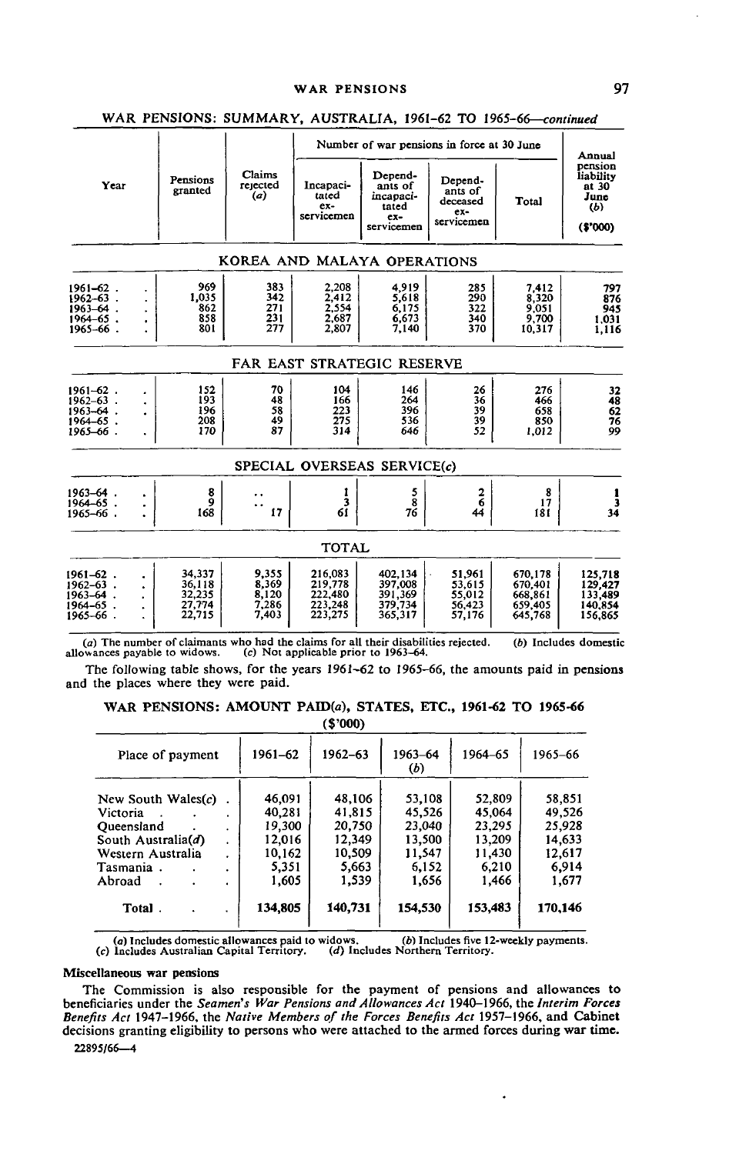#### WAR PENSIONS 97

|                                                                                   | Pensions<br>Year<br>granted |                                                |                                           |                                                     |                                                               | Number of war pensions in force at 30 June          |                                                     | Annual                                                    |
|-----------------------------------------------------------------------------------|-----------------------------|------------------------------------------------|-------------------------------------------|-----------------------------------------------------|---------------------------------------------------------------|-----------------------------------------------------|-----------------------------------------------------|-----------------------------------------------------------|
|                                                                                   |                             |                                                | Claims<br>rejected<br>(a)                 | Incapaci-<br>tated<br>ex-<br>servicemen             | Depend-<br>ants of<br>incapaci-<br>tated<br>ex-<br>servicemen | Depend-<br>ants of<br>deceased<br>ex-<br>servicemen | Total                                               | pension<br>liability<br>at 30<br>June<br>(b)<br>( \$'000) |
|                                                                                   |                             |                                                |                                           |                                                     | KOREA AND MALAYA OPERATIONS                                   |                                                     |                                                     |                                                           |
| $1961 - 62$ .<br>$1962 - 63$ .<br>$1963 - 64$ .<br>$1964 - 65$ .<br>$1965 - 66$ . | ٠                           | 969<br>1.035<br>862<br>858<br>801              | 383<br>342<br>271<br>231<br>277           | 2,208<br>2.412<br>2.554<br>2.687<br>2.807           | 4,919<br>5.618<br>6.175<br>6.673<br>7.140                     | 285<br>290<br>322<br>340<br>370                     | 7.412<br>8,320<br>9,051<br>9,700<br>10,317          | 797<br>876<br>945<br>1.031<br>1.116                       |
|                                                                                   |                             |                                                |                                           |                                                     | FAR EAST STRATEGIC RESERVE                                    |                                                     |                                                     |                                                           |
| $1961 - 62$ .<br>$1962 - 63$ .<br>$1963 - 64$ .<br>1964-65.<br>1965-66.           | $\ddot{\phantom{a}}$        | 152<br>193<br>196<br>208<br>170                | 70<br>48<br>58<br>49<br>87                | 104<br>166<br>223<br>275<br>314                     | 146<br>264<br>396<br>536<br>646                               | 26<br>36<br>39<br>39<br>52                          | 276<br>466<br>658<br>850<br>1.012                   | 32<br>48<br>$\frac{62}{76}$<br>99                         |
|                                                                                   |                             |                                                |                                           |                                                     | SPECIAL OVERSEAS SERVICE(c)                                   |                                                     |                                                     |                                                           |
| $1963 - 64$ .<br>$1964 - 65$ .<br>1965-66.                                        |                             | 8<br>9<br>168                                  | 17                                        | 1<br>3<br>61                                        | 5<br>8<br>76                                                  | $\mathbf 2$<br>$\overline{6}$<br>44                 | 8<br>17<br>181                                      | 34                                                        |
|                                                                                   |                             |                                                |                                           | TOTAL                                               |                                                               |                                                     |                                                     |                                                           |
| 1961–62.<br>1962–63.<br>1963–64.<br>1964–65.<br>1965–66.                          |                             | 34.337<br>36.118<br>32,235<br>27,774<br>22,715 | 9.355<br>8.369<br>8,120<br>7.286<br>7,403 | 216.083<br>219,778<br>222,480<br>223,248<br>223,275 | 402.134<br>397,008<br>391,369<br>379,734<br>365,317           | 51.961<br>53.615<br>55,012<br>56,423<br>57.176      | 670,178<br>670,401<br>668,861<br>659,405<br>645,768 | 125,718<br>129,427<br>133,489<br>140,854<br>156,865       |

## WAR PENSIONS: SUMMARY, AUSTRALIA, 1961-62 TO 1965-66—*continued*

(a) The number of claimants who had the claims for all their disabilities rejected, allowances payable to widows. (c) Not applicable prior to 1963-64. (6) Includes domestic

The following table shows, for the years 1961-62 to 1965-66, the amounts paid in pensions and the places where they were paid.

WAR PENSIONS: AMOUNT PAID(a), STATES, ETC., 1961-62 TO 1965-66

**(S'OOO)**

| Place of payment                                                                                                  | 1961-62                                                          | 1962-63                                                          | 1963-64<br>(b)                                                   | 1964-65                                                          | 1965-66                                                          |
|-------------------------------------------------------------------------------------------------------------------|------------------------------------------------------------------|------------------------------------------------------------------|------------------------------------------------------------------|------------------------------------------------------------------|------------------------------------------------------------------|
| New South Wales $(c)$<br>Victoria<br>Oueensland<br>South Australia(d)<br>Western Australia<br>Tasmania.<br>Abroad | 46,091<br>40,281<br>19,300<br>12,016<br>10,162<br>5,351<br>1,605 | 48,106<br>41,815<br>20,750<br>12.349<br>10,509<br>5,663<br>1,539 | 53,108<br>45,526<br>23,040<br>13,500<br>11,547<br>5,152<br>1,656 | 52,809<br>45,064<br>23,295<br>13,209<br>11,430<br>6.210<br>1.466 | 58,851<br>49,526<br>25,928<br>14,633<br>12,617<br>6,914<br>1,677 |
| Total.                                                                                                            | 134,805                                                          | 140,731                                                          | 154,530                                                          | 153,483                                                          | 170,146                                                          |

(a) Includes domestic allowances paid to widows. (b) Includes five 12-weekly payments.<br>(c) Includes Australian Capital Territory. (d) Includes Northern Territory.

#### Miscellaneous war pensions

The Commission is also responsible for the payment of pensions and allowances to beneficiaries under the Seamen's War Pensions and Allowances Act 1940–1966, the Interim Forces Benefits Act 1947–1966, the Native Members of decisions granting eligibility to persons who were attached to the armed forces during war time.

.

22895/66—4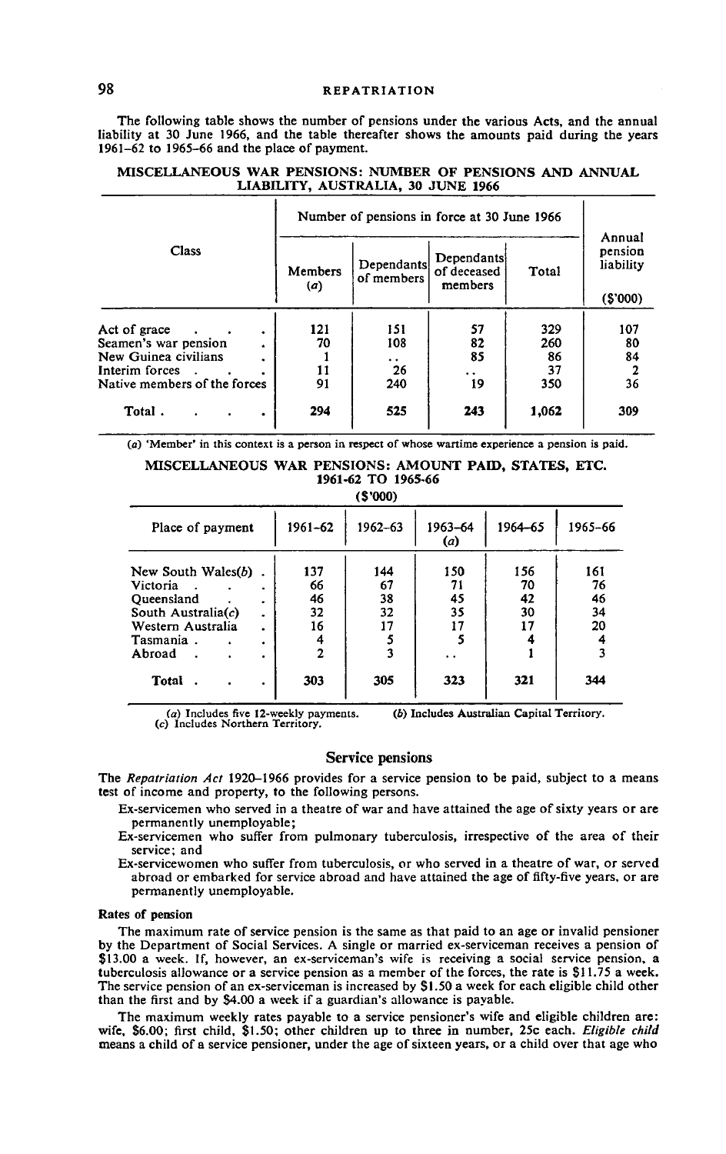The following table shows the number of pensions under the various Acts, and the annual liability at 30 June 1966, and the table thereafter shows the amounts paid during the years 1961-62 to 1965-66 and the place of payment.

|                                                                                                                             | Number of pensions in force at 30 June 1966 |                                |                                      |                               |                                           |
|-----------------------------------------------------------------------------------------------------------------------------|---------------------------------------------|--------------------------------|--------------------------------------|-------------------------------|-------------------------------------------|
| Class                                                                                                                       | Members<br>(a)                              | Dependants<br>of members       | Dependants<br>of deceased<br>members | Total                         | Annual<br>pension<br>liability<br>(S'000) |
| Act of grace<br>$\bullet$<br>Seamen's war pension<br>New Guinea civilians<br>Interim forces<br>Native members of the forces | 121<br>70<br>11<br>91                       | 151<br>108<br>. .<br>26<br>240 | 57<br>82<br>85<br>. .<br>19          | 329<br>260<br>86<br>37<br>350 | 107<br>80<br>84<br>2<br>36                |
| Total.<br>٠                                                                                                                 | 294                                         | 525                            | 243                                  | 1,062                         | 309                                       |

## **MISCELLANEOUS WAR PENSIONS: NUMBER OF PENSIONS AND ANNUAL LIABILITY, AUSTRALIA, 30** JUNE **1966**

(o) 'Member' in this context is a person in respect of whose wartime experience a pension is paid.

#### **MISCELLANEOUS WAR PENSIONS: AMOUNT PAID, STATES, ETC. 1961-62 TO 1965-66**

**(S'OOO)**

|                                                                                                                                                    |                                                    | 1 J J J J J                 |                                  |                             |                             |
|----------------------------------------------------------------------------------------------------------------------------------------------------|----------------------------------------------------|-----------------------------|----------------------------------|-----------------------------|-----------------------------|
| Place of payment                                                                                                                                   | 1961-62                                            | 1962-63                     | 1963-64<br>(a)                   | 1964-65                     | 1965-66                     |
| New South Wales $(b)$<br>Victoria<br>٠<br>Oueensland<br>۰<br>South Australia $(c)$<br>٠<br>Western Australia<br>٠<br>Tasmania.<br>٠<br>Abroad<br>٠ | 137<br>66<br>46<br>32<br>16<br>4<br>$\overline{2}$ | 144<br>67<br>38<br>32<br>17 | 150<br>71<br>45<br>35<br>17<br>5 | 156<br>70<br>42<br>30<br>17 | 161<br>76<br>46<br>34<br>20 |
| Total<br>٠                                                                                                                                         | 303                                                | 305                         | 323                              | 321                         | 344                         |

 $(a)$  Includes five 12-weekly payments. (c) Includes Northern Territory. (6) Includes Australian Capital Territory.

#### Service pensions

The *Repatriation Act* 1920-1966 provides for a service pension to be paid, subject to a means test of income and property, to the following persons.

Ex-servicemen who served in a theatre of war and have attained the age of sixty years or are permanently unemployable;

Ex-servicemen who suffer from pulmonary tuberculosis, irrespective of the area of their service; and

Ex-servicewomen who suffer from tuberculosis, or who served in a theatre of war, or served abroad or embarked for service abroad and have attained the age of fifty-five years, or are permanently unemployable.

#### **Rates of pension**

The maximum rate of service pension is the same as that paid to an age or invalid pensioner by the Department of Social Services. A single or married ex-serviceman receives a pension of \$13.00 a week. If, however, an ex-serviceman's wife is receiving a social service pension, a tuberculosis allowance or a service pension as a member of the forces, the rate is \$11.75 a week. The service pension of an ex-serviceman is increased by SI.50 a week for each eligible child other than the first and by S4.00 a week if a guardian's allowance is payable.

The maximum weekly rates payable to a service pensioner's wife and eligible children are: wife, S6.00; first child, \$1.50; other children up to three in number, 25c each. *Eligible child* means a child of a service pensioner, under the age of sixteen years, or a child over that age who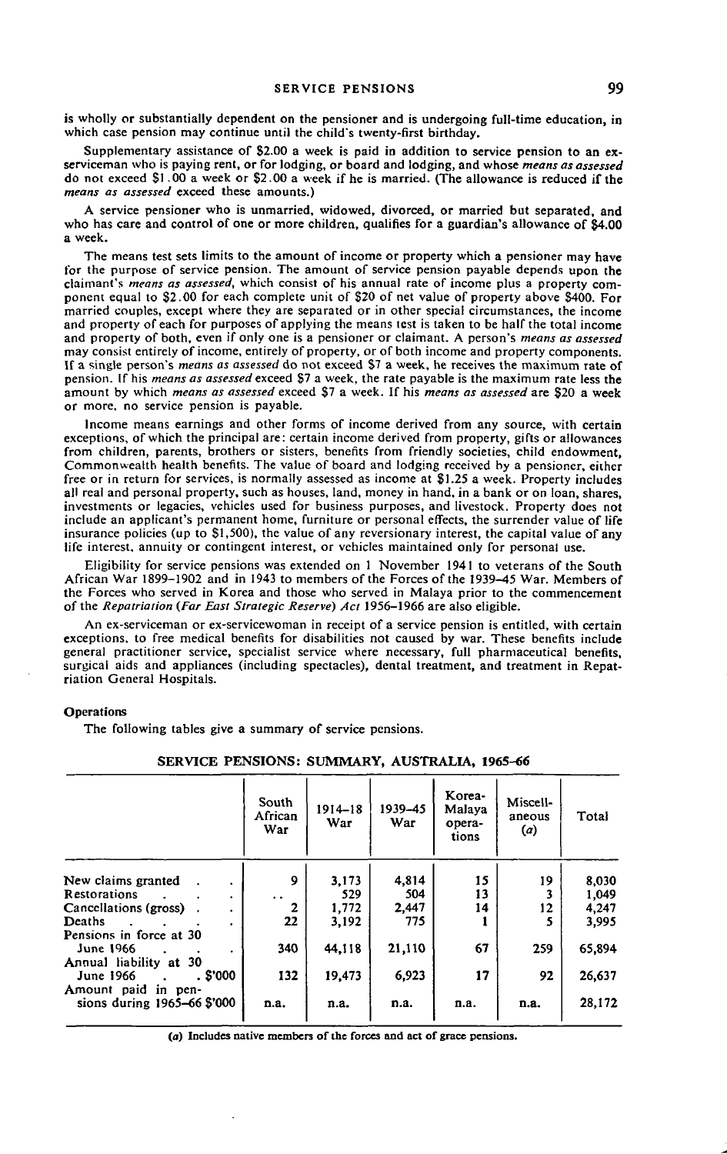is wholly or substantially dependent on the pensioner and is undergoing full-time education, in which case pension may continue until the child's twenty-first birthday.

Supplementary assistance of \$2.00 a week is paid in addition to service pension to an exserviceman who is paying rent, or for lodging, or board and lodging, and whose *means as assessed* do not exceed SI .00 a week or \$2.00 a week if he is married. (The allowance is reduced if the *means as assessed* exceed these amounts.)

A service pensioner who is unmarried, widowed, divorced, or married but separated, and who has care and control of one or more children, qualifies for a guardian's allowance of \$4.00 a week.

The means test sets limits to the amount of income or property which a pensioner may have for the purpose of service pension. The amount of service pension payable depends upon the claimant's *means as assessed,* which consist of his annual rate of income plus a property component equal to \$2.00 for each complete unit of §20 of net value of property above \$400. For married couples, except where they are separated or in other special circumstances, the income and property of each for purposes of applying the means test is taken to be half the total income and property of both, even if only one is a pensioner or claimant. A person's *means as assessed* may consist entirely of income, entirely of property, or of both income and property components. If a single person's *means as assessed* do not exceed \$7 a week, he receives the maximum rate of pension. If his *means as assessed exceed* \$7 a week, the rate payable is the maximum rate less the amount by which *means as assessed* exceed \$7 a week. If his *means as assessed* are \$20 a week or more, no service pension is payable.

Income means earnings and other forms of income derived from any source, with certain exceptions, of which the principal are: certain income derived from property, gifts or allowances from children, parents, brothers or sisters, benefits from friendly societies, child endowment, Commonwealth health benefits. The value of board and lodging received by a pensioner, either free or in return for services, is normally assessed as income at \$1.25 a week. Property includes all real and personal property, such as houses, land, money in hand, in a bank or on loan, shares, investments or legacies, vehicles used for business purposes, and livestock. Property does not include an applicant's permanent home, furniture or personal effects, the surrender value of life insurance policies (up to \$1,500), the value of any reversionary interest, the capital value of any life interest, annuity or contingent interest, or vehicles maintained only for personal use.

Eligibility for service pensions was extended on 1 November 1941 to veterans of the South African War 1899-1902 and in 1943 to members of the Forces of the 1939-45 War. Members of the Forces who served in Korea and those who served in Malaya prior to the commencement of the *Repatriation (Far East Strategic Reserve) Act* 1956-1966 are also eligible.

An ex-serviceman or ex-servicewoman in receipt of a service pension is entitled, with certain exceptions, to free medical benefits for disabilities not caused by war. These benefits include general practitioner service, specialist service where necessary, full pharmaceutical benefits, surgical aids and appliances (including spectacles), dental treatment, and treatment in Repatriation General Hospitals.

## **Operations**

The following tables give a summary of service pensions.

|                                                                     | South<br>African<br>War | $1914 - 18$<br>War | 1939-45<br>War | Korea-<br>Malaya<br>opera-<br>tions | Miscell-<br>aneous<br>(a) | Total  |
|---------------------------------------------------------------------|-------------------------|--------------------|----------------|-------------------------------------|---------------------------|--------|
| New claims granted<br>۰                                             | 9                       | 3,173              | 4.814          | 15                                  | 19                        | 8.030  |
| <b>Restorations</b><br>$\bullet$                                    | $\ddot{\phantom{0}}$    | 529                | 504            | 13                                  |                           | 1.049  |
| Cancellations (gross).<br>$\bullet$                                 | 2                       | 1,772              | 2.447          | 14                                  | 12                        | 4,247  |
| Deaths<br>$\bullet$                                                 | 22                      | 3,192              | 775            |                                     |                           | 3,995  |
| Pensions in force at 30<br>June 1966<br>٠<br>Annual liability at 30 | 340                     | 44,118             | 21,110         | 67                                  | 259                       | 65.894 |
| . \$'000<br>June 1966                                               | 132                     | 19,473             | 6.923          | 17                                  | 92                        | 26,637 |
| Amount paid in pen-<br>sions during 1965-66 \$'000                  | n.a.                    | n.a.               | n.a.           | n.a.                                | n.a.                      | 28,172 |

#### **SERVICE PENSIONS: SUMMARY, AUSTRALIA, 1965-66**

(a) Includes native members **of** the forces and act of grace pensions.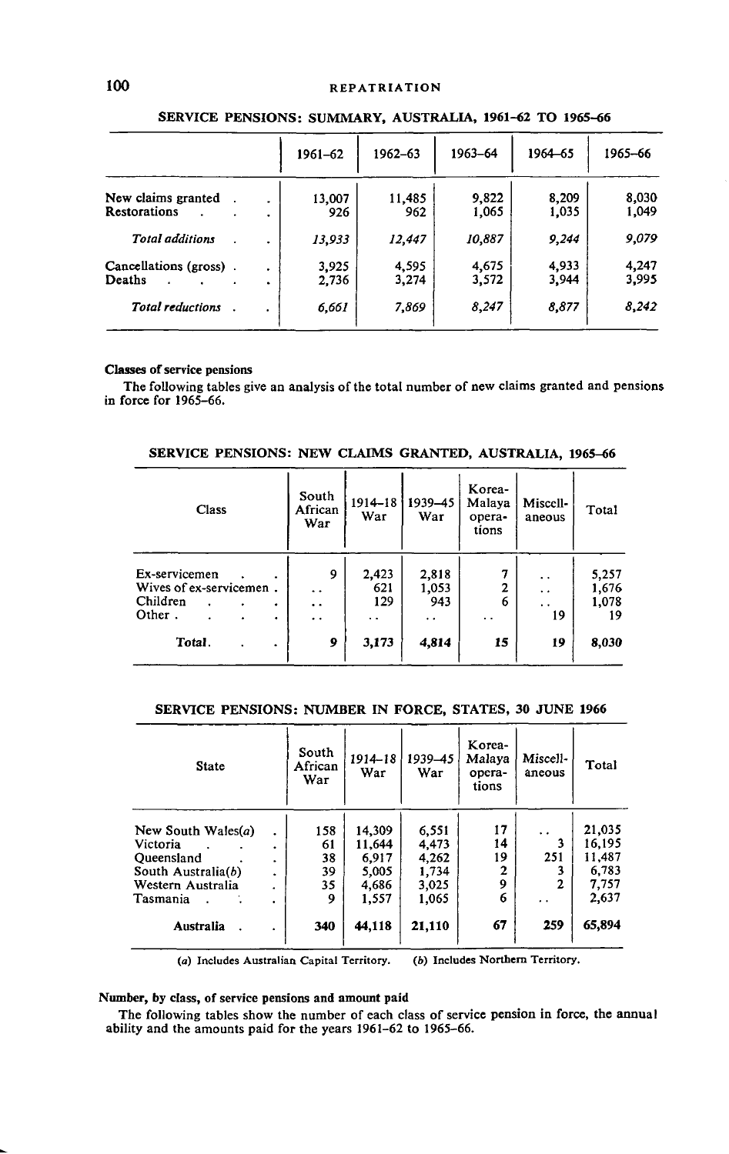|                        |           | 1961-62 | 1962-63 | 1963-64 | 1964-65 | 1965-66 |
|------------------------|-----------|---------|---------|---------|---------|---------|
| New claims granted     | ٠         | 13.007  | 11,485  | 9.822   | 8,209   | 8,030   |
| <b>Restorations</b>    | ۰         | 926     | 962     | 1,065   | 1,035   | 1,049   |
| <b>Total additions</b> |           | 13,933  | 12,447  | 10,887  | 9,244   | 9.079   |
| Cancellations (gross). |           | 3,925   | 4,595   | 4,675   | 4,933   | 4,247   |
| Deaths                 | $\bullet$ | 2,736   | 3,274   | 3,572   | 3,944   | 3,995   |
| Total reductions       |           | 6,661   | 7,869   | 8,247   | 8,877   | 8,242   |

## SERVICE PENSIONS: SUMMARY, AUSTRALIA, 1961-62 TO 1965-66

#### **Classes of service pensions**

The following tables give an analysis of the total number of new claims granted and pensions in force for 1965-66.

| SERVICE PENSIONS: NEW CLAIMS GRANTED, AUSTRALIA, 1965–66 |  |  |  |  |  |
|----------------------------------------------------------|--|--|--|--|--|
|----------------------------------------------------------|--|--|--|--|--|

| Class                   | South<br>African<br>War | 1914-18<br>War | 1939-45<br>War       | Korea-<br>Malaya<br>opera-<br>tions | Miscell-<br>aneous   | Total |
|-------------------------|-------------------------|----------------|----------------------|-------------------------------------|----------------------|-------|
| Ex-servicemen           | 9                       | 2,423          | 2,818                | 7                                   | $\ddot{\phantom{0}}$ | 5,257 |
| Wives of ex-servicemen. | $\ddot{\phantom{1}}$    | 621            | 1,053                | 2                                   | $\ddot{\phantom{0}}$ | 1,676 |
| Children                | $\ddot{\phantom{1}}$    | 129            | 943                  | 6                                   | $\ddot{\phantom{0}}$ | 1,078 |
| Other.                  | $\cdot$ $\cdot$         | . .            | $\ddot{\phantom{0}}$ | . .                                 | 19                   | 19    |
| Total.<br>٠             | 9                       | 3,173          | 4,814                | 15                                  | 19                   | 8,030 |

## **SERVICE PENSIONS: NUMBER IN FORCE, STATES, 30** JUNE **1966**

| <b>State</b>          |                | South<br>African<br>War | 1914-18<br>War | 1939-45<br>War | Korea-<br>Malava<br>opera-<br>tions | Miscell-<br>aneous   | Total  |
|-----------------------|----------------|-------------------------|----------------|----------------|-------------------------------------|----------------------|--------|
| New South Wales $(a)$ |                | 158                     | 14,309         | 6,551          | 17                                  | $\ddot{\phantom{0}}$ | 21,035 |
| Victoria              | ٠              | 61                      | 11.644         | 4,473          | 14                                  |                      | 16,195 |
| Queensland            | ×.             | 38                      | 6.917          | 4,262          | 19                                  | 251                  | 11.487 |
| South Australia(b)    | $\bullet$      | 39                      | 5,005          | 1,734          | $\overline{2}$                      |                      | 6.783  |
| Western Australia     | ٠              | 35                      | 4.686          | 3,025          | 9                                   | $\mathbf{2}$         | 7,757  |
| Tasmania              | $\blacksquare$ | 9                       | 1,557          | 1,065          | 6                                   | $\ddot{\phantom{0}}$ | 2,637  |
| Australia             |                | 340                     | 44,118         | 21,110         | 67                                  | 259                  | 65,894 |
|                       |                |                         |                |                |                                     |                      |        |

(a) Includes Australian Capital Territory. (6) Includes Northern Territory.

## **Number, by class, of service pensions and amount paid**

The following tables show the number of each class of service pension in force, the annual ability and the amounts paid for the years 1961-62 to 1965-66.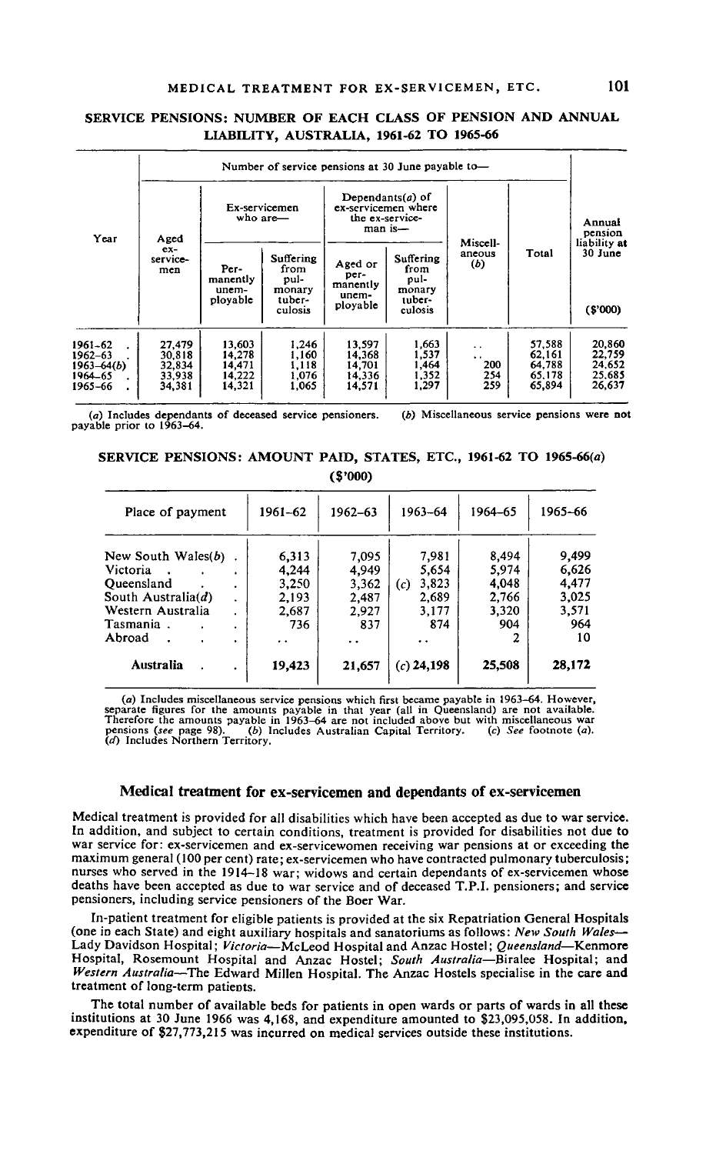# MEDICAL TREATMENT FOR EX-SERVICEMEN, ETC. **101**

## **SERVICE PENSIONS: NUMBER OF EACH CLASS OF PENSION AND ANNUAL LIABILITY, AUSTRALIA, 1961-62 TO 1965-66**

|                                                        | Number of service pensions at 30 June payable to- |                                                |                                                          |                                                  |                                                                          |                                                  |                                                |                                                            |  |  |  |  |
|--------------------------------------------------------|---------------------------------------------------|------------------------------------------------|----------------------------------------------------------|--------------------------------------------------|--------------------------------------------------------------------------|--------------------------------------------------|------------------------------------------------|------------------------------------------------------------|--|--|--|--|
| Year                                                   | Aged                                              |                                                | Ex-servicemen<br>who are-                                |                                                  | Dependants $(a)$ of<br>ex-servicemen where<br>the ex-service-<br>man is- |                                                  |                                                | Annual<br>pension<br>liability at<br>$30$ June<br>(\$'000) |  |  |  |  |
|                                                        | $ex-$<br>service-<br>men                          | Per-<br>manently<br>unem-<br>ployable          | Suffering<br>from<br>pul-<br>monary<br>tuber-<br>culosis | Aged or<br>per-<br>manently<br>unem-<br>ployable | Suffering<br>from<br>pul-<br>monary<br>tuber-<br>culosis                 | Miscell-<br>ancous<br>(b)                        | Total                                          |                                                            |  |  |  |  |
| 1961–62<br>1962–63<br>1963–64(b)<br>1964–65<br>1965–66 | 27,479<br>30.818<br>32.834<br>33,938<br>34,381    | 13.603<br>14,278<br>14.471<br>14.222<br>14,321 | 1.246<br>1,160<br>1,118<br>1.076<br>1.065                | 13.597<br>14,368<br>14.701<br>14,336<br>14.571   | 1.663<br>1.537<br>1,464<br>1.352<br>1,297                                | $\ddot{\phantom{0}}$<br>. .<br>200<br>254<br>259 | 57.588<br>62.161<br>64,788<br>65.178<br>65,894 | 20.860<br>22,759<br>24.652<br>25.685<br>26.637             |  |  |  |  |

(a) Includes dependants of deceased service pensioners. *(b)* Miscellaneous service pensions were not payable prior to 1963-64.

## SERVICE **PENSIONS: AMOUNT PAID, STATES,** ETC., **1961-62 TO** 196S-66(o) **(S'OOO)**

| Place of payment                                                                                                                 | 1961-62                                                 | $1962 - 63$                                             | 1963-64                                                        | 1964-65                                          | 1965-66                                                |
|----------------------------------------------------------------------------------------------------------------------------------|---------------------------------------------------------|---------------------------------------------------------|----------------------------------------------------------------|--------------------------------------------------|--------------------------------------------------------|
| New South Wales $(b)$<br>Victoria<br>Oueensland<br>South Australia( $d$ )<br>Western Australia<br>Tasmania.<br>٠<br>Abroad<br>×. | 6,313<br>4,244<br>3.250<br>2.193<br>2.687<br>736<br>. . | 7,095<br>4.949<br>3,362<br>2,487<br>2.927<br>837<br>. . | 7.981<br>5,654<br>3,823<br>(c)<br>2.689<br>3,177<br>874<br>. . | 8,494<br>5,974<br>4,048<br>2,766<br>3,320<br>904 | 9,499<br>6,626<br>4.477<br>3,025<br>3,571<br>964<br>10 |
| Australia                                                                                                                        | 19,423                                                  | 21,657                                                  | $(c)$ 24,198                                                   | 25,508                                           | 28,172                                                 |

(a) Includes miscellaneous service pensions which first became payable in 1963-64. However, separate figures for the amounts payable in that year (all in Queensland) are not available. Therefore the amounts payable in 1963-64 are not included above but with miscellaneous war (b) Includes Australian Capital Territory. (c) See footnote (a). *(th)* Includes Northern Territory.

## **Medical treatment for ex-servicemen and dependants of ex-servicemen**

Medical treatment is provided for all disabilities which have been accepted as due to war service. In addition, and subject to certain conditions, treatment is provided for disabilities not due to war service for: ex-servicemen and ex-servicewomen receiving war pensions at or exceeding the maximum general (100 per cent) rate; ex-servicemen who have contracted pulmonary tuberculosis; nurses who served in the 1914—18 war; widows and certain dependants of ex-servicemen whose deaths have been accepted as due to war service and of deceased T.P.I, pensioners; and service pensioners, including service pensioners of the Boer War.

In-patient treatment for eligible patients is provided at the six Repatriation General Hospitals (one in each State) and eight auxiliary hospitals and sanatoriums as follows: *New South Wales*— Lady Davidson Hospital; *Victoria*—McLeod Hospital and Anzac Hostel; *Queensland*—Kenmore Hospital, Rosemount Hospital and Anzac Hostel; *South Australia*—Biralee Hospital; and *Western Australia*—The Edward Millen Hospital. The Anzac Hostels specialise in the care and treatment of long-term patients.

The total number of available beds for patients in open wards or parts of wards in all these institutions at 30 June 1966 was 4,168, and expenditure amounted to 823,095,058. In addition, expenditure of \$27,773,215 was incurred on medical services outside these institutions.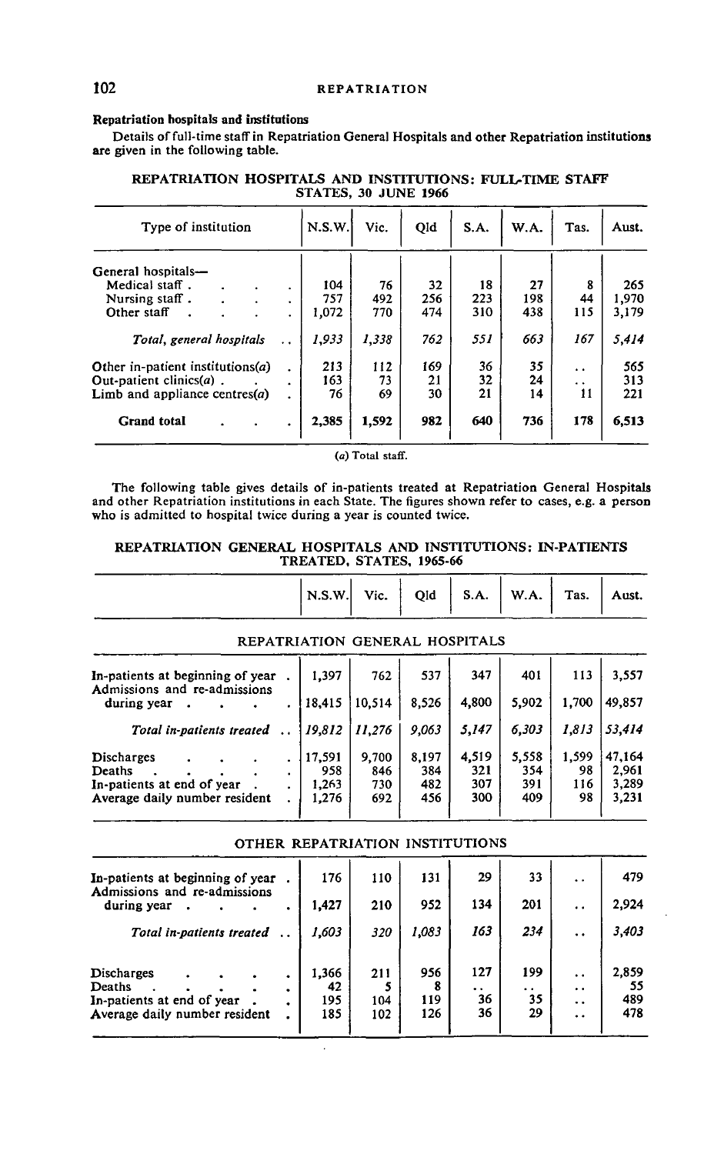## **Repatriation hospitals and institutions**

Details of full-time staff in Repatriation General Hospitals and other Repatriation institutions are given in the following table.

| Type of institution                 | N.S.W.    | Vic.  | Qid   | S.A. | W.A. | Tas. | Aust.                |       |
|-------------------------------------|-----------|-------|-------|------|------|------|----------------------|-------|
| General hospitals-                  |           |       |       |      |      |      |                      |       |
| Medical staff.                      | ٠         | 104   | 76    | 32   | 18   | 27   | 8                    | 265   |
| Nursing staff.                      |           | 757   | 492   | 256  | 223  | 198  | 44                   | 1,970 |
| ٠<br>Other staff                    | ٠<br>٠    | 1,072 | 770   | 474  | 310  | 438  | 115                  | 3,179 |
| Total, general hospitals            |           | 1,933 | 1,338 | 762  | 551  | 663  | 167                  | 5,414 |
| Other in-patient institutions $(a)$ | $\bullet$ | 213   | 112   | 169  | 36   | 35   | $\ddot{\phantom{0}}$ | 565   |
| Out-patient clinics( $a$ ).         | ٠         | 163   | 73    | 21   | 32   | 24   | $\ddot{\phantom{0}}$ | 313   |
| Limb and appliance centres $(a)$    |           | 76    | 69    | 30   | 21   | 14   | 11                   | 221   |
| <b>Grand</b> total                  | ٠         | 2,385 | 1,592 | 982  | 640  | 736  | 178                  | 6,513 |

## **REPATRIATION HOSPITALS AND INSTITUTIONS: FULL-TIME STAFF STATES, 30 JUNE 1966**

(a) Total staff.

The following table gives details of in-patients treated at Repatriation General Hospitals and other Repatriation institutions in each State. The figures shown refer to cases, e.g. a person who is admitted to hospital twice during a year is counted twice.

## **REPATRIATION GENERAL HOSPITALS AND INSTITUTIONS: IN-PATIENTS TREATED, STATES, 1965-66**

| N.S.W. | Vic. |  | Qid   S.A.   W.A. | Tas. | Aust. |
|--------|------|--|-------------------|------|-------|
|        |      |  |                   |      |       |

## REPATRIATION GENERAL HOSPITALS

| In-patients at beginning of year<br>Admissions and re-admissions                    | 1.397                           | 762                        | 537                        | 347                        | 401                        | 113                      | 3,557                             |
|-------------------------------------------------------------------------------------|---------------------------------|----------------------------|----------------------------|----------------------------|----------------------------|--------------------------|-----------------------------------|
| during year                                                                         | 18.415                          | 10.514                     | 8.526                      | 4,800                      | 5.902                      | 1,700                    | 49,857                            |
| Total in-patients treated                                                           | 19,812                          | 11.276                     | 9,063                      | 5,147                      | 6.303                      | 1.813                    | 53,414                            |
| Discharges<br>Deaths<br>In-patients at end of year<br>Average daily number resident | 17,591<br>958<br>1,263<br>1,276 | 9.700<br>846<br>730<br>692 | 8.197<br>384<br>482<br>456 | 4,519<br>321<br>307<br>300 | 5,558<br>354<br>391<br>409 | 1,599<br>98<br>116<br>98 | 47.164<br>2,961<br>3,289<br>3,231 |

| OTHER REPATRIATION INSTITUTIONS                                                     |                           |                   |                   |                        |                        |                                                                             |                           |  |  |  |  |
|-------------------------------------------------------------------------------------|---------------------------|-------------------|-------------------|------------------------|------------------------|-----------------------------------------------------------------------------|---------------------------|--|--|--|--|
| In-patients at beginning of year<br>Admissions and re-admissions                    | 176                       | 110               | 131               | 29                     | 33                     | $\ddot{\phantom{0}}$                                                        | 479                       |  |  |  |  |
| during year<br>$\bullet$                                                            | 1,427                     | 210               | 952               | 134                    | 201                    | $\ddot{\phantom{0}}$                                                        | 2,924                     |  |  |  |  |
| Total in-patients treated                                                           | 1,603                     | 320               | 1,083             | 163                    | 234                    | $\ddot{\phantom{0}}$                                                        | 3,403                     |  |  |  |  |
| Discharges<br>Deaths<br>In-patients at end of year<br>Average daily number resident | 1,366<br>42<br>195<br>185 | 211<br>104<br>102 | 956<br>119<br>126 | 127<br>. .<br>36<br>36 | 199<br>. .<br>35<br>29 | $\ddot{\phantom{0}}$<br>$\ddot{\phantom{1}}$<br>$\ddot{\phantom{a}}$<br>. . | 2,859<br>55<br>489<br>478 |  |  |  |  |

 $\ddot{\phantom{a}}$ 

## OTHER REPATRIATION INSTITUTIONS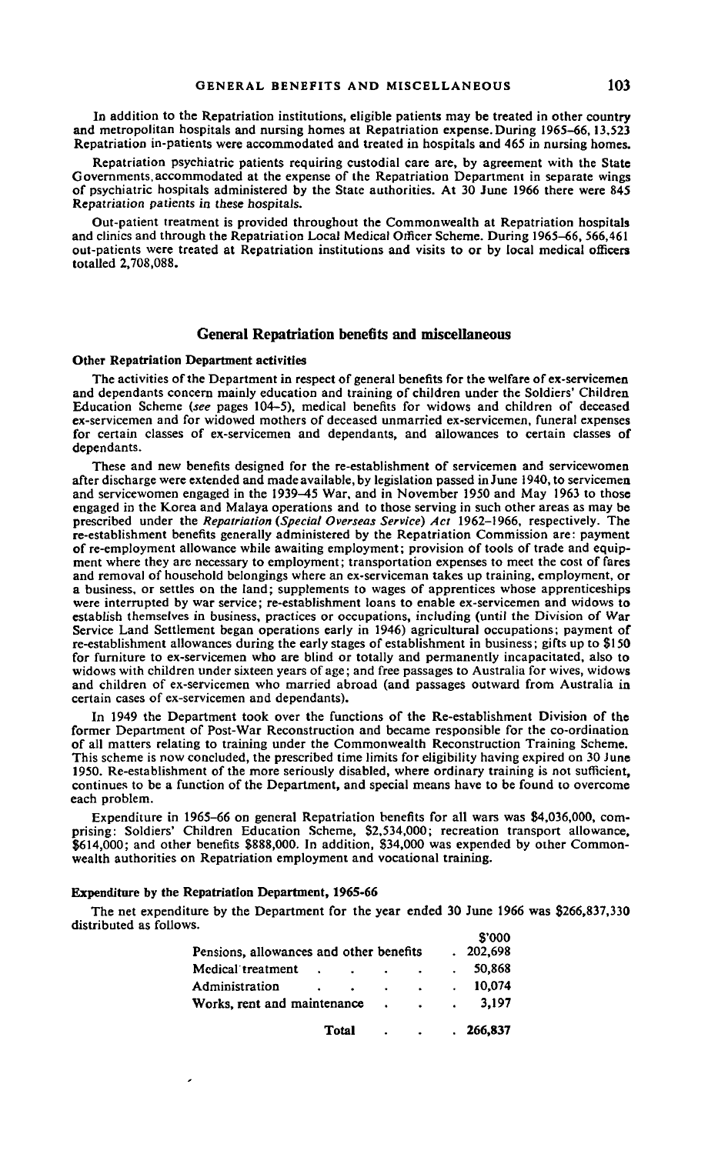In addition to the Repatriation institutions, eligible patients may be treated in other country and metropolitan hospitals and nursing homes at Repatriation expense. During 1965-66,13,523 Repatriation in-patients were accommodated and treated in hospitals and *465* in nursing homes.

Repatriation psychiatric patients requiring custodial care are, by agreement with the State Governments,accommodated at the expense of the Repatriation Department in separate wings of psychiatric hospitals administered by the State authorities. At 30 June 1966 there were 845 Repatriation patients in these hospitals.

Out-patient treatment is provided throughout the Commonwealth at Repatriation hospitals and clinics and through the Repatriation Local Medical Officer Scheme. During 1965-66, 566,461 out-patients were treated at Repatriation institutions and visits to or by local medical officers totalled 2,708,088.

## **General Repatriation benefits and miscellaneous**

#### **Other Repatriation Department activities**

The activities of the Department in respect of general benefits for the welfare of ex-servicemen and dependants concern mainly education and training of children under the Soldiers' Children Education Scheme *(see* pages 104-5), medical benefits for widows and children of deceased ex-servicemen and for widowed mothers of deceased unmarried ex-servicemen, funeral expenses for certain classes of ex-servicemen and dependants, and allowances to certain classes of dependants.

These and new benefits designed for the re-establishment of servicemen and servicewomen after discharge were extended and made available, by legislation passed in June 1940, to servicemen and servicewomen engaged in the 1939-45 War, and in November 1950 and May 1963 to those engaged in the Korea and Malaya operations and to those serving in such other areas as may be prescribed under the *Repatriation (Special Overseas Service) Act* 1962-1966, respectively. The re-establishment benefits generally administered by the Repatriation Commission are: payment of re-employment allowance while awaiting employment; provision of tools of trade and equipment where they are necessary to employment; transportation expenses to meet the cost of fares and removal of household belongings where an ex-serviceman takes up training, employment, or a business, or settles on the land; supplements to wages of apprentices whose apprenticeships were interrupted by war service; re-establishment loans to enable ex-servicemen and widows to establish themselves in business, practices or occupations, including (until the Division of War Service Land Settlement began operations early in 1946) agricultural occupations; payment of re-establishment allowances during the early stages of establishment in business; gifts up to \$150 for furniture to ex-servicemen who are blind or totally and permanently incapacitated, also to widows with children under sixteen years of age; and free passages to Australia for wives, widows and children of ex-servicemen who married abroad (and passages outward from Australia in certain cases of ex-servicemen and dependants).

In 1949 the Department took over the functions of the Re-establishment Division of the former Department of Post-War Reconstruction and became responsible for the co-ordination of all matters relating to training under the Commonwealth Reconstruction Training Scheme. This scheme is now concluded, the prescribed time limits for eligibility having expired on 30 June 1950. Re-establishment of the more seriously disabled, where ordinary training is not sufficient, continues to be a function of the Department, and special means have to be found to overcome each problem.

Expenditure in 1965-66 on general Repatriation benefits for all wars was 84,036,000, comprising: Soldiers' Children Education Scheme, 82,534,000; recreation transport allowance, \$614,000; and other benefits \$888,000. In addition, \$34,000 was expended by other Commonwealth authorities on Repatriation employment and vocational training.

#### **Expenditure by the Repatriation Department, 1965-66**

٠

The net expenditure by the Department for the year ended 30 June 1966 was 8266,837,330 distributed as follows. S'OOO

|                                         |           | Total           | $\blacksquare$    | <b>Contractor</b>    | . 266.837         |
|-----------------------------------------|-----------|-----------------|-------------------|----------------------|-------------------|
| Works, rent and maintenance             |           |                 |                   | $\sim$               | 3.197             |
| Administration                          | $\bullet$ | $\sim 10^{-10}$ | $\sim 10^{-10}$   | $\ddot{\phantom{0}}$ | 10,074            |
| Medical treatment                       |           | $\sim$          | <b>Contractor</b> | $\sim$               | 50,868            |
| Pensions, allowances and other benefits |           |                 |                   |                      | טטט פ<br>.202.698 |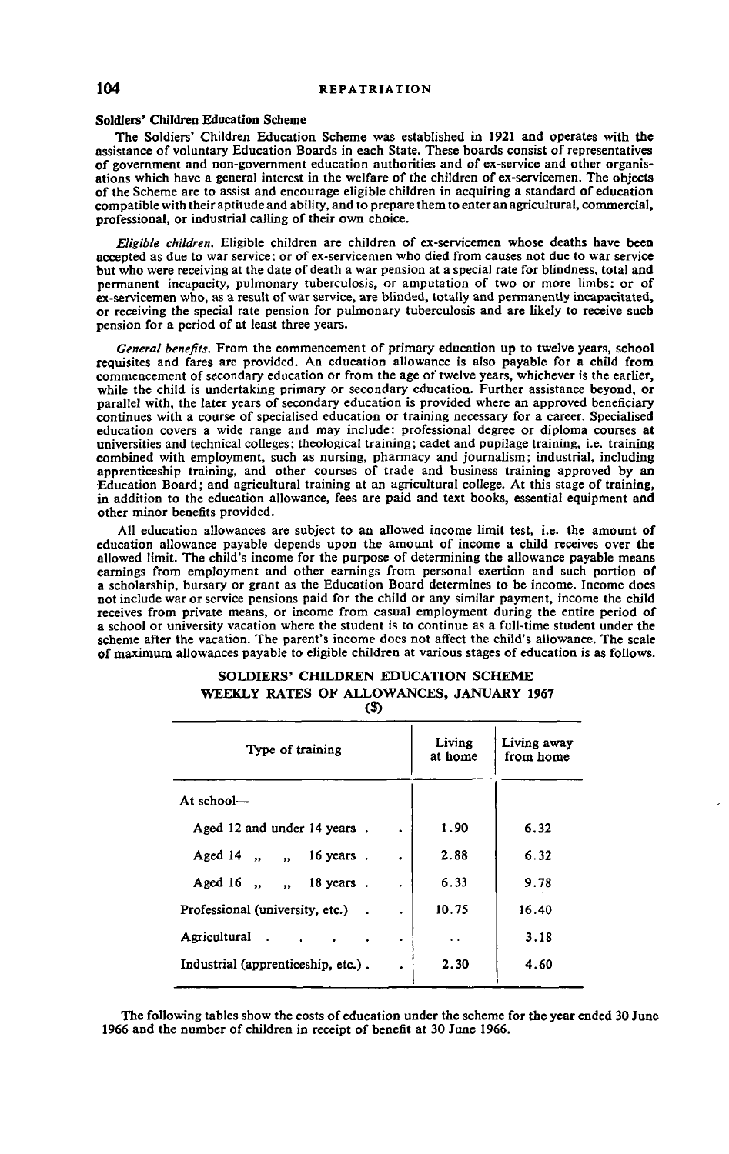## **Soldiers' Children Education Scheme**

The Soldiers' Children Education Scheme was established in 1921 and operates with the assistance of voluntary Education Boards in each State. These boards consist of representatives of government and non-government education authorities and of ex-service and other organisations which have a general interest in the welfare of the children of ex-servicemen. The objects of the Scheme are to assist and encourage eligible children in acquiring a standard of education compatible with their aptitude and ability, and to prepare them to enter an agricultural, commercial, professional, or industrial calling of their own choice.

*Eligible children.* Eligible children are children of ex-servicemen whose deaths have been accepted as due to war service: or of ex-servicemen who died from causes not due to war service but who were receiving at the date of death a war pension at a special rate for blindness, total and permanent incapacity, pulmonary tuberculosis, or amputation of two or more limbs; or of ex-servicemen who, as a result of war service, are blinded, totally and permanently incapacitated, or receiving the special rate pension for pulmonary tuberculosis and are likely to receive such pension for a period of at least three years.

*General benefits.* From the commencement of primary education up to twelve years, school requisites and fares are provided. An education allowance is also payable for a child from commencement of secondary education or from the age of twelve years, whichever is the earlier, while the child is undertaking primary or secondary education. Further assistance beyond, or parallel with, the later years of secondary education is provided where an approved beneficiary continues with a course of specialised education or training necessary for a career. Specialised education covers a wide range and may include: professional degree or diploma courses at universities and technical colleges; theological training; cadet and pupilage training, i.e. training combined with employment, such as nursing, pharmacy and journalism; industrial, including apprenticeship training, and other courses of trade and business training approved by an Education Board; and agricultural training at an agricultural college. At this stage of training, in addition to the education allowance, fees are paid and text books, essential equipment and other minor benefits provided.

All education allowances are subject to an allowed income limit test, i.e. the amount of education allowance payable depends upon the amount of income a child receives over the allowed limit. The child's income for the purpose of determining the allowance payable means earnings from employment and other earnings from personal exertion and such portion of a scholarship, bursary or grant as the Education Board determines to be income. Income does not include war or service pensions paid for the child or any similar payment, income the child receives from private means, or income from casual employment during the entire period of a school or university vacation where the student is to continue as a full-time student under the scheme after the vacation. The parent's income does not affect the child's allowance. The scale of maximum allowances payable to eligible children at various stages of education is as follows.

| Living<br>at home    | Living away<br>from home            |  |  |  |  |  |  |  |
|----------------------|-------------------------------------|--|--|--|--|--|--|--|
|                      |                                     |  |  |  |  |  |  |  |
| 1.90                 | 6.32                                |  |  |  |  |  |  |  |
| 2.88                 | 6.32                                |  |  |  |  |  |  |  |
| 6.33                 | 9.78                                |  |  |  |  |  |  |  |
| 10.75                | 16.40                               |  |  |  |  |  |  |  |
| $\ddot{\phantom{1}}$ | 3.18                                |  |  |  |  |  |  |  |
| 2.30                 | 4.60                                |  |  |  |  |  |  |  |
|                      | $\ddot{\phantom{0}}$<br>٠<br>٠<br>٠ |  |  |  |  |  |  |  |

#### **SOLDIERS' CHILDREN EDUCATION SCHEME WEEKLY RATES OF ALLOWANCES, JANUARY 1967 (S)**

The following tables show the costs of education under the scheme for the year ended 30 June 1966 and the number of children in receipt of benefit at 30 June 1966.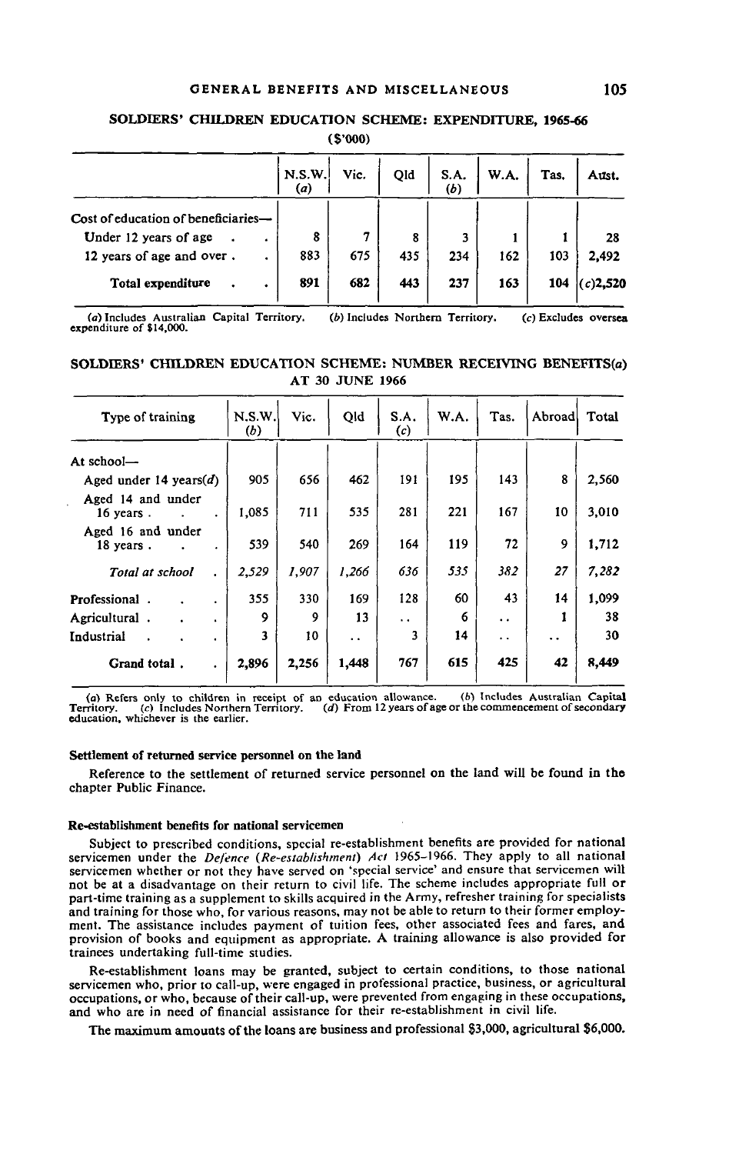## **GENERAL BENEFITS AND MISCELLANEOUS 105**

#### **SOLDIERS' CHILDREN EDUCATION SCHEME: EXPENDITURE, 1965-66**

**(S'OOO)**

|                                             | N.S.W.<br>(a) | Vic. | Old | S.A.<br>(b) | W.A. | Tas. | Aust.       |
|---------------------------------------------|---------------|------|-----|-------------|------|------|-------------|
| Cost of education of beneficiaries-         |               |      |     |             |      |      |             |
| Under 12 years of age<br>٠                  | 8             |      | 8   | 3           |      |      | 28          |
| 12 years of age and over.<br>$\blacksquare$ | 883           | 675  | 435 | 234         | 162  | 103  | 2,492       |
| Total expenditure                           | 891           | 682  | 443 | 237         | 163  | 104  | $(c)$ 2,520 |

(a) Includes Australian Capital Territory. (6) Includes Northern Territory. (c) Excludes oversea expenditure of \$14,000.

|  | SOLDIERS' CHILDREN EDUCATION SCHEME: NUMBER RECEIVING BENEFITS(a) |                        |  |  |
|--|-------------------------------------------------------------------|------------------------|--|--|
|  |                                                                   | <b>AT 30 JUNE 1966</b> |  |  |

| Type of training               | N.S.W.<br>(b) | Vic.  | Qld                  | S.A.<br>(c)          | W.A. | Tas.                 | Abroad               | Total |
|--------------------------------|---------------|-------|----------------------|----------------------|------|----------------------|----------------------|-------|
| At school-                     |               |       |                      |                      |      |                      |                      |       |
| Aged under 14 years( $d$ )     | 905           | 656   | 462                  | 191                  | 195  | 143                  | 8                    | 2,560 |
| Aged 14 and under<br>16 years. | 1,085         | 711   | 535                  | 281                  | 221  | 167                  | 10                   | 3,010 |
| Aged 16 and under<br>18 years. | 539           | 540   | 269                  | 164                  | 119  | 72                   | 9                    | 1,712 |
| Total at school                | 2,529         | 1,907 | 1,266                | 636                  | 535  | 382                  | 27                   | 7,282 |
| Professional.                  | 355           | 330   | 169                  | 128                  | 60   | 43                   | 14                   | 1,099 |
| Agricultural.                  | 9             | Q     | 13                   | $\ddot{\phantom{1}}$ | 6    | $\ddot{\phantom{0}}$ |                      | 38    |
| Industrial                     | 3             | 10    | $\ddot{\phantom{a}}$ | 3                    | 14   | $\ddot{\phantom{0}}$ | $\ddot{\phantom{0}}$ | 30    |
| Grand total.                   | 2,896         | 2,256 | 1,448                | 767                  | 615  | 425                  | 42                   | 8,449 |

(a) Refers only to children in receipt of an education allowance. (b) Includes Australian Capital<br>Territory. (c) Includes Northern Territory. (d) From 12 years of age or the commencement of secondary<br>education, whichever i

#### **Settlement of returned service personnel on the land**

Reference to the settlement of returned service personnel on the land will be found in the chapter Public Finance.

#### **Re-establishment benefits for national servicemen**

Subject to prescribed conditions, special re-establishment benefits are provided for national servicemen under the *Defence (Re-establishmeni) Act* 1965-1966. They apply to all national servicemen whether or not they have served on 'special service' and ensure that servicemen will not be at a disadvantage on their return to civil life. The scheme includes appropriate full or part-time training as a supplement to skills acquired in the Army, refresher training for specialists and training for those who, for various reasons, may not be able to return to their former employment. The assistance includes payment of tuition fees, other associated fees and fares, and provision of books and equipment as appropriate. A training allowance is also provided for trainees undertaking full-time studies.

Re-establishment loans may be granted, subject to certain conditions, to those national servicemen who, prior to call-up, were engaged in professional practice, business, or agricultural occupations, or who, because of their call-up, were prevented from engaging in these occupations, and who are in need of financial assistance for their re-establishment in civil life.

The maximum amounts of the loans are business and professional \$3,000, agricultural \$6,000.